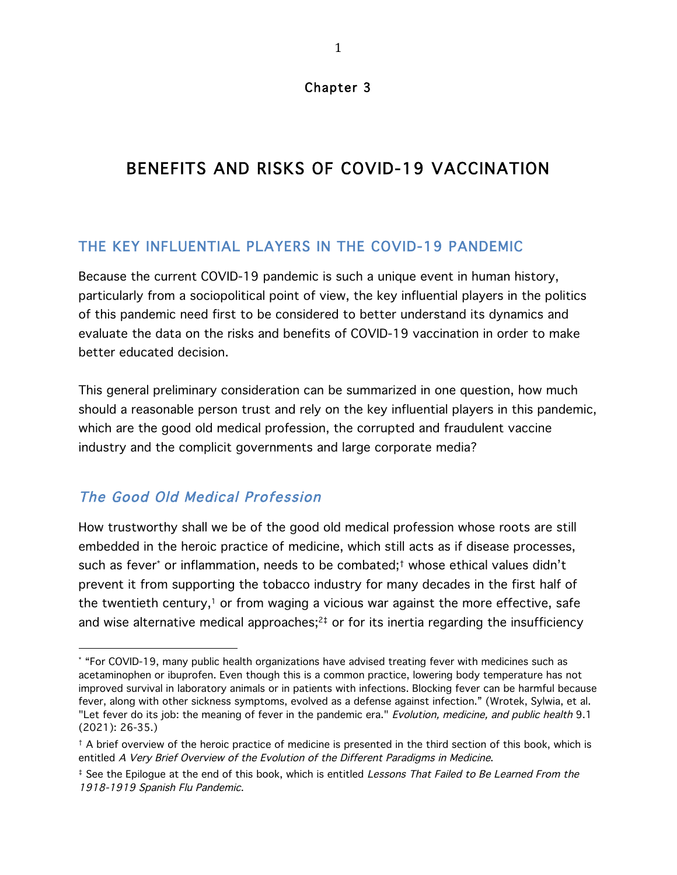# BENEFITS AND RISKS OF COVID-19 VACCINATION

### THE KEY INFLUENTIAL PLAYERS IN THE COVID-19 PANDEMIC

Because the current COVID-19 pandemic is such a unique event in human history, particularly from a sociopolitical point of view, the key influential players in the politics of this pandemic need first to be considered to better understand its dynamics and evaluate the data on the risks and benefits of COVID-19 vaccination in order to make better educated decision.

This general preliminary consideration can be summarized in one question, how much should a reasonable person trust and rely on the key influential players in this pandemic, which are the good old medical profession, the corrupted and fraudulent vaccine industry and the complicit governments and large corporate media?

## The Good Old Medical Profession

 

How trustworthy shall we be of the good old medical profession whose roots are still embedded in the heroic practice of medicine, which still acts as if disease processes, such as fever\* or inflammation, needs to be combated;† whose ethical values didn't prevent it from supporting the tobacco industry for many decades in the first half of the twentieth century,<sup>1</sup> or from waging a vicious war against the more effective, safe and wise alternative medical approaches; $24$  or for its inertia regarding the insufficiency

<sup>\*</sup> "For COVID-19, many public health organizations have advised treating fever with medicines such as acetaminophen or ibuprofen. Even though this is a common practice, lowering body temperature has not improved survival in laboratory animals or in patients with infections. Blocking fever can be harmful because fever, along with other sickness symptoms, evolved as a defense against infection." (Wrotek, Sylwia, et al. "Let fever do its job: the meaning of fever in the pandemic era." Evolution, medicine, and public health 9.1 (2021): 26-35.)

<sup>†</sup> A brief overview of the heroic practice of medicine is presented in the third section of this book, which is entitled A Very Brief Overview of the Evolution of the Different Paradigms in Medicine.

<sup>&</sup>lt;sup>‡</sup> See the Epilogue at the end of this book, which is entitled Lessons That Failed to Be Learned From the 1918-1919 Spanish Flu Pandemic.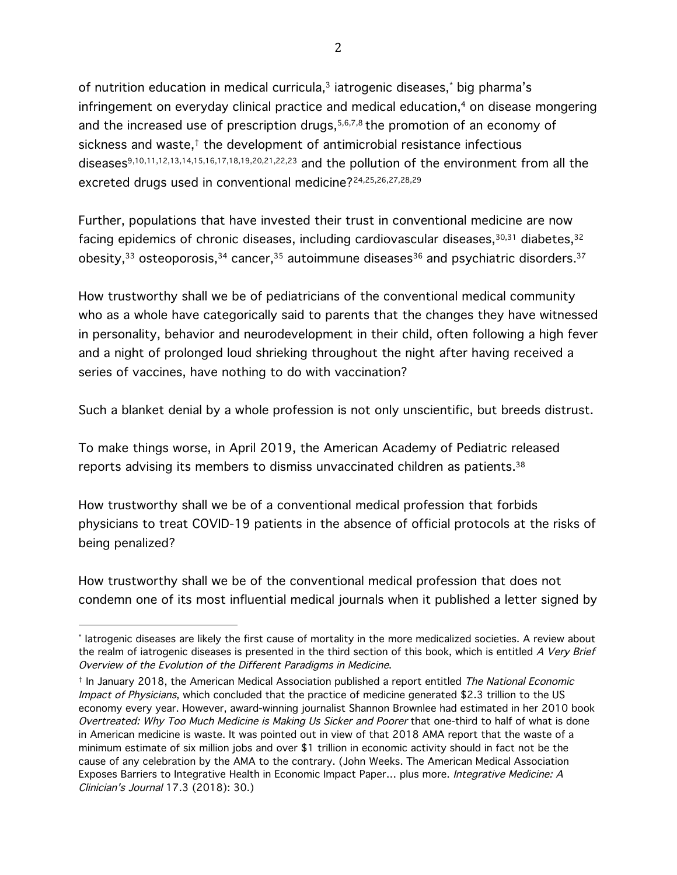of nutrition education in medical curricula,<sup>3</sup> iatrogenic diseases,<sup>\*</sup> big pharma's infringement on everyday clinical practice and medical education, <sup>4</sup> on disease mongering and the increased use of prescription drugs,  $5,6,7,8$  the promotion of an economy of sickness and waste,† the development of antimicrobial resistance infectious diseases9,10,11,12,13,14,15,16,17,18,19,20,21,22,23 and the pollution of the environment from all the excreted drugs used in conventional medicine?24,25,26,27,28,29

Further, populations that have invested their trust in conventional medicine are now facing epidemics of chronic diseases, including cardiovascular diseases, 30,31 diabetes, 32 obesity, $33$  osteoporosis, $34$  cancer, $35$  autoimmune diseases $36$  and psychiatric disorders. $37$ 

How trustworthy shall we be of pediatricians of the conventional medical community who as a whole have categorically said to parents that the changes they have witnessed in personality, behavior and neurodevelopment in their child, often following a high fever and a night of prolonged loud shrieking throughout the night after having received a series of vaccines, have nothing to do with vaccination?

Such a blanket denial by a whole profession is not only unscientific, but breeds distrust.

To make things worse, in April 2019, the American Academy of Pediatric released reports advising its members to dismiss unvaccinated children as patients.38

How trustworthy shall we be of a conventional medical profession that forbids physicians to treat COVID-19 patients in the absence of official protocols at the risks of being penalized?

How trustworthy shall we be of the conventional medical profession that does not condemn one of its most influential medical journals when it published a letter signed by

<sup>\*</sup> Iatrogenic diseases are likely the first cause of mortality in the more medicalized societies. A review about the realm of iatrogenic diseases is presented in the third section of this book, which is entitled A Very Brief Overview of the Evolution of the Different Paradigms in Medicine.

<sup>&</sup>lt;sup>†</sup> In January 2018, the American Medical Association published a report entitled The National Economic Impact of Physicians, which concluded that the practice of medicine generated \$2.3 trillion to the US economy every year. However, award-winning journalist Shannon Brownlee had estimated in her 2010 book Overtreated: Why Too Much Medicine is Making Us Sicker and Poorer that one-third to half of what is done in American medicine is waste. It was pointed out in view of that 2018 AMA report that the waste of a minimum estimate of six million jobs and over \$1 trillion in economic activity should in fact not be the cause of any celebration by the AMA to the contrary. (John Weeks. The American Medical Association Exposes Barriers to Integrative Health in Economic Impact Paper... plus more. Integrative Medicine: A Clinician's Journal 17.3 (2018): 30.)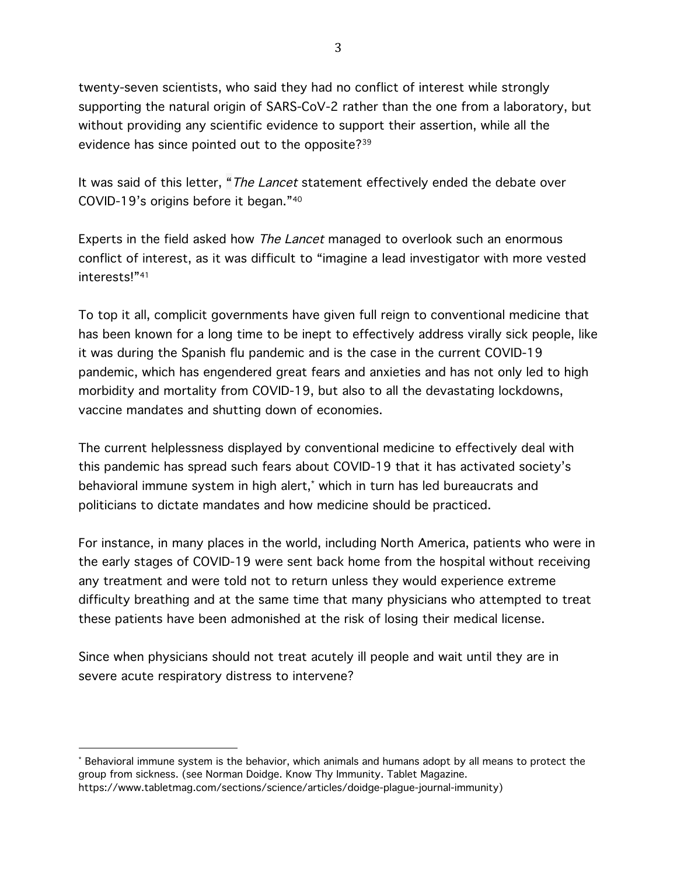twenty-seven scientists, who said they had no conflict of interest while strongly supporting the natural origin of SARS-CoV-2 rather than the one from a laboratory, but without providing any scientific evidence to support their assertion, while all the evidence has since pointed out to the opposite?39

It was said of this letter, "*The Lancet* statement effectively ended the debate over COVID-19's origins before it began."40

Experts in the field asked how The Lancet managed to overlook such an enormous conflict of interest, as it was difficult to "imagine a lead investigator with more vested interests!"41

To top it all, complicit governments have given full reign to conventional medicine that has been known for a long time to be inept to effectively address virally sick people, like it was during the Spanish flu pandemic and is the case in the current COVID-19 pandemic, which has engendered great fears and anxieties and has not only led to high morbidity and mortality from COVID-19, but also to all the devastating lockdowns, vaccine mandates and shutting down of economies.

The current helplessness displayed by conventional medicine to effectively deal with this pandemic has spread such fears about COVID-19 that it has activated society's behavioral immune system in high alert, \* which in turn has led bureaucrats and politicians to dictate mandates and how medicine should be practiced.

For instance, in many places in the world, including North America, patients who were in the early stages of COVID-19 were sent back home from the hospital without receiving any treatment and were told not to return unless they would experience extreme difficulty breathing and at the same time that many physicians who attempted to treat these patients have been admonished at the risk of losing their medical license.

Since when physicians should not treat acutely ill people and wait until they are in severe acute respiratory distress to intervene?

<sup>\*</sup> Behavioral immune system is the behavior, which animals and humans adopt by all means to protect the group from sickness. (see Norman Doidge. Know Thy Immunity. Tablet Magazine. https://www.tabletmag.com/sections/science/articles/doidge-plague-journal-immunity)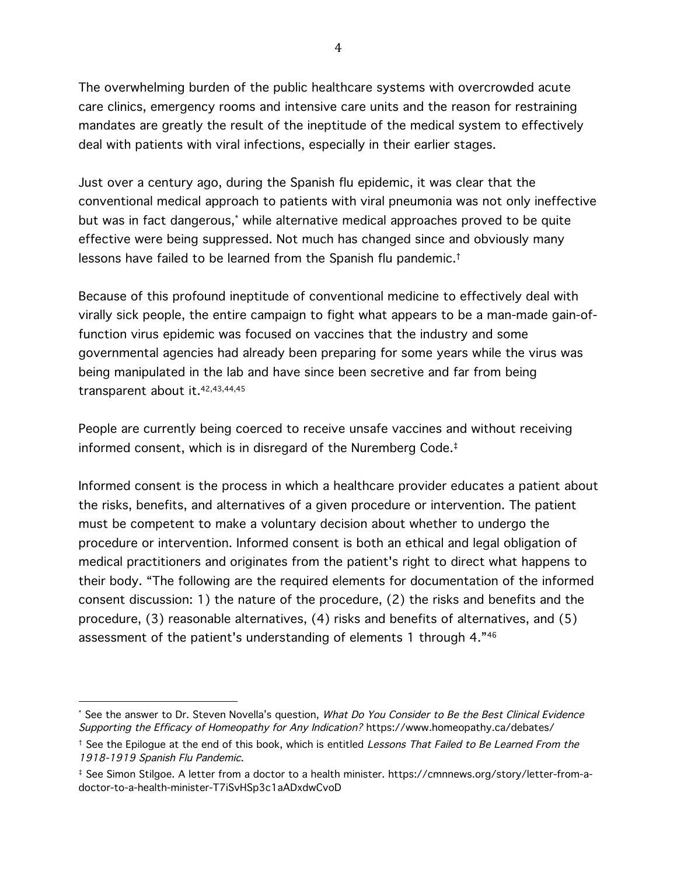The overwhelming burden of the public healthcare systems with overcrowded acute care clinics, emergency rooms and intensive care units and the reason for restraining mandates are greatly the result of the ineptitude of the medical system to effectively deal with patients with viral infections, especially in their earlier stages.

Just over a century ago, during the Spanish flu epidemic, it was clear that the conventional medical approach to patients with viral pneumonia was not only ineffective but was in fact dangerous,\* while alternative medical approaches proved to be quite effective were being suppressed. Not much has changed since and obviously many lessons have failed to be learned from the Spanish flu pandemic.†

Because of this profound ineptitude of conventional medicine to effectively deal with virally sick people, the entire campaign to fight what appears to be a man-made gain-offunction virus epidemic was focused on vaccines that the industry and some governmental agencies had already been preparing for some years while the virus was being manipulated in the lab and have since been secretive and far from being transparent about it.42,43,44,45

People are currently being coerced to receive unsafe vaccines and without receiving informed consent, which is in disregard of the Nuremberg Code.‡

Informed consent is the process in which a healthcare provider educates a patient about the risks, benefits, and alternatives of a given procedure or intervention. The patient must be competent to make a voluntary decision about whether to undergo the procedure or intervention. Informed consent is both an ethical and legal obligation of medical practitioners and originates from the patient's right to direct what happens to their body. "The following are the required elements for documentation of the informed consent discussion: 1) the nature of the procedure, (2) the risks and benefits and the procedure, (3) reasonable alternatives, (4) risks and benefits of alternatives, and (5) assessment of the patient's understanding of elements 1 through 4."46

<sup>\*</sup> See the answer to Dr. Steven Novella's question, What Do You Consider to Be the Best Clinical Evidence Supporting the Efficacy of Homeopathy for Any Indication? https://www.homeopathy.ca/debates/

<sup>&</sup>lt;sup>†</sup> See the Epilogue at the end of this book, which is entitled Lessons That Failed to Be Learned From the 1918-1919 Spanish Flu Pandemic.

<sup>‡</sup> See Simon Stilgoe. A letter from a doctor to a health minister. https://cmnnews.org/story/letter-from-adoctor-to-a-health-minister-T7iSvHSp3c1aADxdwCvoD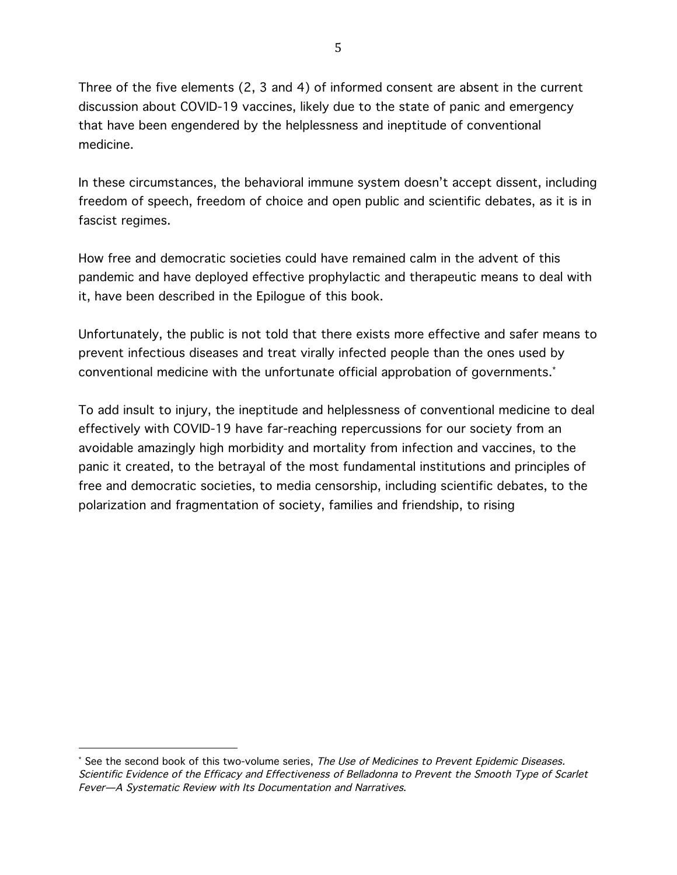Three of the five elements (2, 3 and 4) of informed consent are absent in the current discussion about COVID-19 vaccines, likely due to the state of panic and emergency that have been engendered by the helplessness and ineptitude of conventional medicine.

In these circumstances, the behavioral immune system doesn't accept dissent, including freedom of speech, freedom of choice and open public and scientific debates, as it is in fascist regimes.

How free and democratic societies could have remained calm in the advent of this pandemic and have deployed effective prophylactic and therapeutic means to deal with it, have been described in the Epilogue of this book.

Unfortunately, the public is not told that there exists more effective and safer means to prevent infectious diseases and treat virally infected people than the ones used by conventional medicine with the unfortunate official approbation of governments. \*

To add insult to injury, the ineptitude and helplessness of conventional medicine to deal effectively with COVID-19 have far-reaching repercussions for our society from an avoidable amazingly high morbidity and mortality from infection and vaccines, to the panic it created, to the betrayal of the most fundamental institutions and principles of free and democratic societies, to media censorship, including scientific debates, to the polarization and fragmentation of society, families and friendship, to rising

<sup>\*</sup> See the second book of this two-volume series, The Use of Medicines to Prevent Epidemic Diseases. Scientific Evidence of the Efficacy and Effectiveness of Belladonna to Prevent the Smooth Type of Scarlet Fever—A Systematic Review with Its Documentation and Narratives.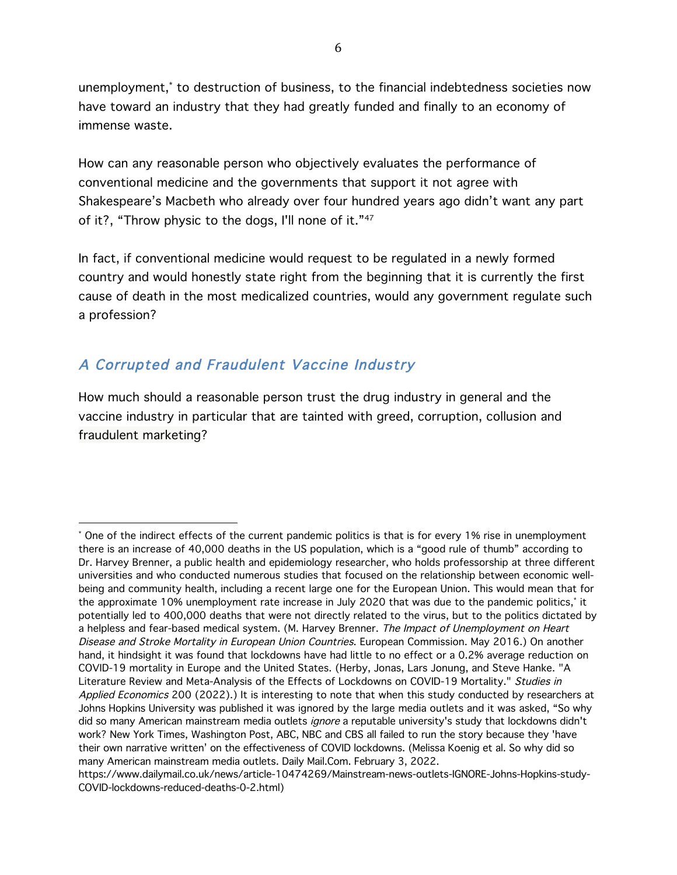unemployment,\* to destruction of business, to the financial indebtedness societies now have toward an industry that they had greatly funded and finally to an economy of immense waste.

How can any reasonable person who objectively evaluates the performance of conventional medicine and the governments that support it not agree with Shakespeare's Macbeth who already over four hundred years ago didn't want any part of it?, "Throw physic to the dogs, I'll none of it."47

In fact, if conventional medicine would request to be regulated in a newly formed country and would honestly state right from the beginning that it is currently the first cause of death in the most medicalized countries, would any government regulate such a profession?

## A Corrupted and Fraudulent Vaccine Industry

 

How much should a reasonable person trust the drug industry in general and the vaccine industry in particular that are tainted with greed, corruption, collusion and fraudulent marketing?

<sup>\*</sup> One of the indirect effects of the current pandemic politics is that is for every 1% rise in unemployment there is an increase of 40,000 deaths in the US population, which is a "good rule of thumb" according to Dr. Harvey Brenner, a public health and epidemiology researcher, who holds professorship at three different universities and who conducted numerous studies that focused on the relationship between economic wellbeing and community health, including a recent large one for the European Union. This would mean that for the approximate 10% unemployment rate increase in July 2020 that was due to the pandemic politics,\* it potentially led to 400,000 deaths that were not directly related to the virus, but to the politics dictated by a helpless and fear-based medical system. (M. Harvey Brenner. The Impact of Unemployment on Heart Disease and Stroke Mortality in European Union Countries. European Commission. May 2016.) On another hand, it hindsight it was found that lockdowns have had little to no effect or a 0.2% average reduction on COVID-19 mortality in Europe and the United States. (Herby, Jonas, Lars Jonung, and Steve Hanke. "A Literature Review and Meta-Analysis of the Effects of Lockdowns on COVID-19 Mortality." Studies in Applied Economics 200 (2022).) It is interesting to note that when this study conducted by researchers at Johns Hopkins University was published it was ignored by the large media outlets and it was asked, "So why did so many American mainstream media outlets ignore a reputable university's study that lockdowns didn't work? New York Times, Washington Post, ABC, NBC and CBS all failed to run the story because they 'have their own narrative written' on the effectiveness of COVID lockdowns. (Melissa Koenig et al. So why did so many American mainstream media outlets. Daily Mail.Com. February 3, 2022.

https://www.dailymail.co.uk/news/article-10474269/Mainstream-news-outlets-IGNORE-Johns-Hopkins-study-COVID-lockdowns-reduced-deaths-0-2.html)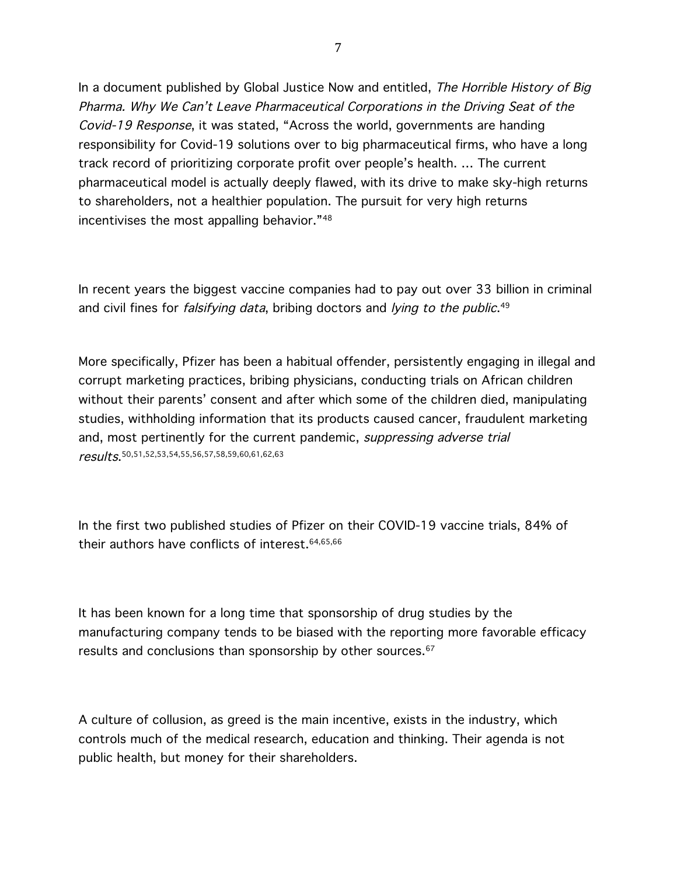In a document published by Global Justice Now and entitled, The Horrible History of Big Pharma. Why We Can't Leave Pharmaceutical Corporations in the Driving Seat of the Covid-19 Response, it was stated, "Across the world, governments are handing responsibility for Covid-19 solutions over to big pharmaceutical firms, who have a long track record of prioritizing corporate profit over people's health. … The current pharmaceutical model is actually deeply flawed, with its drive to make sky-high returns to shareholders, not a healthier population. The pursuit for very high returns incentivises the most appalling behavior."48

In recent years the biggest vaccine companies had to pay out over 33 billion in criminal and civil fines for *falsifying data*, bribing doctors and *lying to the public*.<sup>49</sup>

More specifically, Pfizer has been a habitual offender, persistently engaging in illegal and corrupt marketing practices, bribing physicians, conducting trials on African children without their parents' consent and after which some of the children died, manipulating studies, withholding information that its products caused cancer, fraudulent marketing and, most pertinently for the current pandemic, suppressing adverse trial results. 50,51,52,53,54,55,56,57,58,59,60,61,62,63

In the first two published studies of Pfizer on their COVID-19 vaccine trials, 84% of their authors have conflicts of interest.64,65,66

It has been known for a long time that sponsorship of drug studies by the manufacturing company tends to be biased with the reporting more favorable efficacy results and conclusions than sponsorship by other sources.<sup>67</sup>

A culture of collusion, as greed is the main incentive, exists in the industry, which controls much of the medical research, education and thinking. Their agenda is not public health, but money for their shareholders.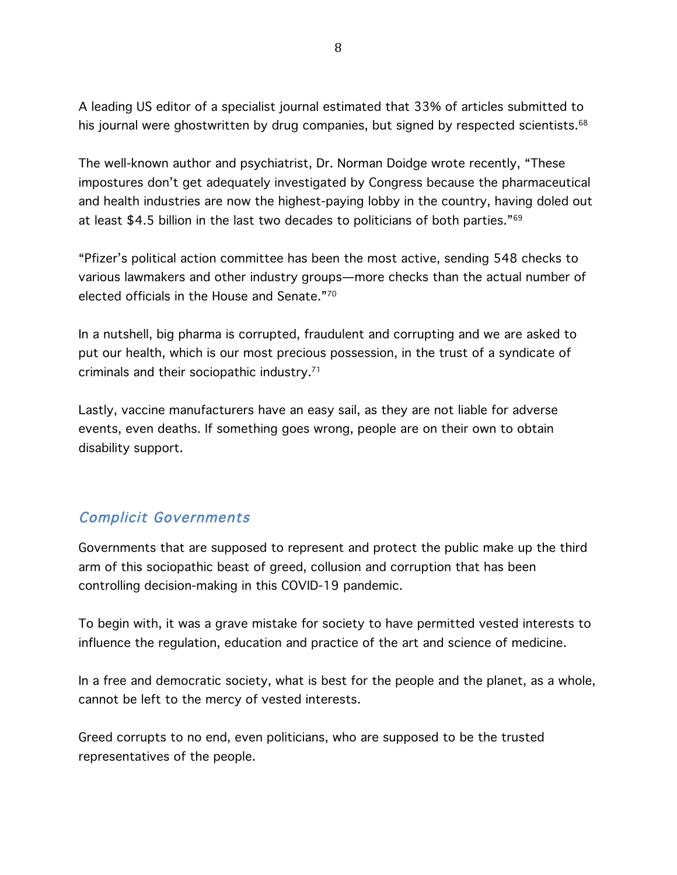A leading US editor of a specialist journal estimated that 33% of articles submitted to his journal were ghostwritten by drug companies, but signed by respected scientists.<sup>68</sup>

The well-known author and psychiatrist, Dr. Norman Doidge wrote recently, "These impostures don't get adequately investigated by Congress because the pharmaceutical and health industries are now the highest-paying lobby in the country, having doled out at least \$4.5 billion in the last two decades to politicians of both parties."69

"Pfizer's political action committee has been the most active, sending 548 checks to various lawmakers and other industry groups—more checks than the actual number of elected officials in the House and Senate."70

In a nutshell, big pharma is corrupted, fraudulent and corrupting and we are asked to put our health, which is our most precious possession, in the trust of a syndicate of criminals and their sociopathic industry.71

Lastly, vaccine manufacturers have an easy sail, as they are not liable for adverse events, even deaths. If something goes wrong, people are on their own to obtain disability support.

#### Complicit Governments

Governments that are supposed to represent and protect the public make up the third arm of this sociopathic beast of greed, collusion and corruption that has been controlling decision-making in this COVID-19 pandemic.

To begin with, it was a grave mistake for society to have permitted vested interests to influence the regulation, education and practice of the art and science of medicine.

In a free and democratic society, what is best for the people and the planet, as a whole, cannot be left to the mercy of vested interests.

Greed corrupts to no end, even politicians, who are supposed to be the trusted representatives of the people.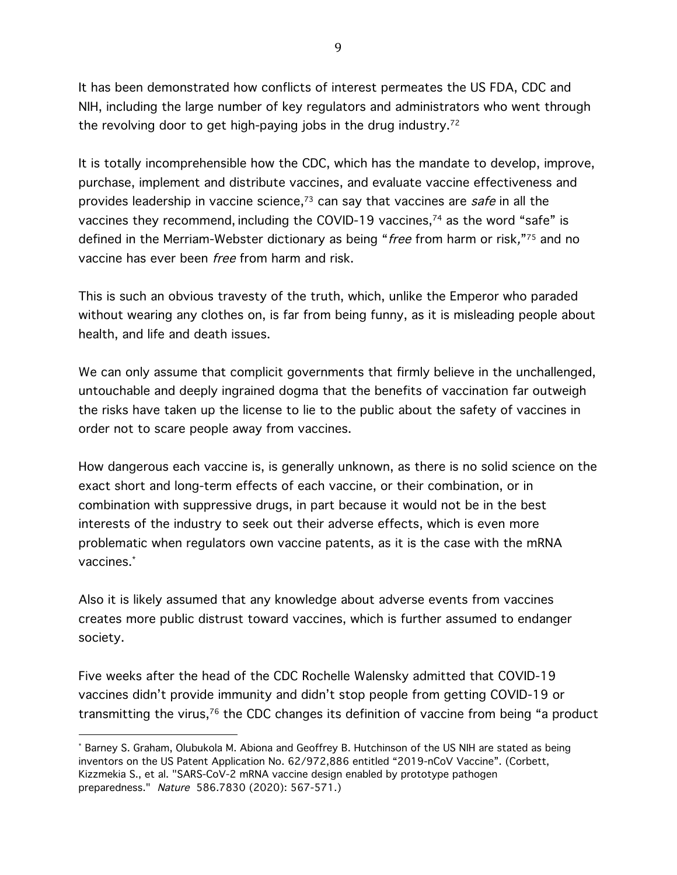It has been demonstrated how conflicts of interest permeates the US FDA, CDC and NIH, including the large number of key regulators and administrators who went through the revolving door to get high-paying jobs in the drug industry.72

It is totally incomprehensible how the CDC, which has the mandate to develop, improve, purchase, implement and distribute vaccines, and evaluate vaccine effectiveness and provides leadership in vaccine science,<sup>73</sup> can say that vaccines are *safe* in all the vaccines they recommend, including the COVID-19 vaccines,74 as the word "safe" is defined in the Merriam-Webster dictionary as being "free from harm or risk,"75 and no vaccine has ever been free from harm and risk.

This is such an obvious travesty of the truth, which, unlike the Emperor who paraded without wearing any clothes on, is far from being funny, as it is misleading people about health, and life and death issues.

We can only assume that complicit governments that firmly believe in the unchallenged, untouchable and deeply ingrained dogma that the benefits of vaccination far outweigh the risks have taken up the license to lie to the public about the safety of vaccines in order not to scare people away from vaccines.

How dangerous each vaccine is, is generally unknown, as there is no solid science on the exact short and long-term effects of each vaccine, or their combination, or in combination with suppressive drugs, in part because it would not be in the best interests of the industry to seek out their adverse effects, which is even more problematic when regulators own vaccine patents, as it is the case with the mRNA vaccines. \*

Also it is likely assumed that any knowledge about adverse events from vaccines creates more public distrust toward vaccines, which is further assumed to endanger society.

Five weeks after the head of the CDC Rochelle Walensky admitted that COVID-19 vaccines didn't provide immunity and didn't stop people from getting COVID-19 or transmitting the virus, $76$  the CDC changes its definition of vaccine from being "a product

<sup>\*</sup> Barney S. Graham, Olubukola M. Abiona and Geoffrey B. Hutchinson of the US NIH are stated as being inventors on the US Patent Application No. 62/972,886 entitled "2019-nCoV Vaccine". (Corbett, Kizzmekia S., et al. "SARS-CoV-2 mRNA vaccine design enabled by prototype pathogen preparedness." Nature 586.7830 (2020): 567-571.)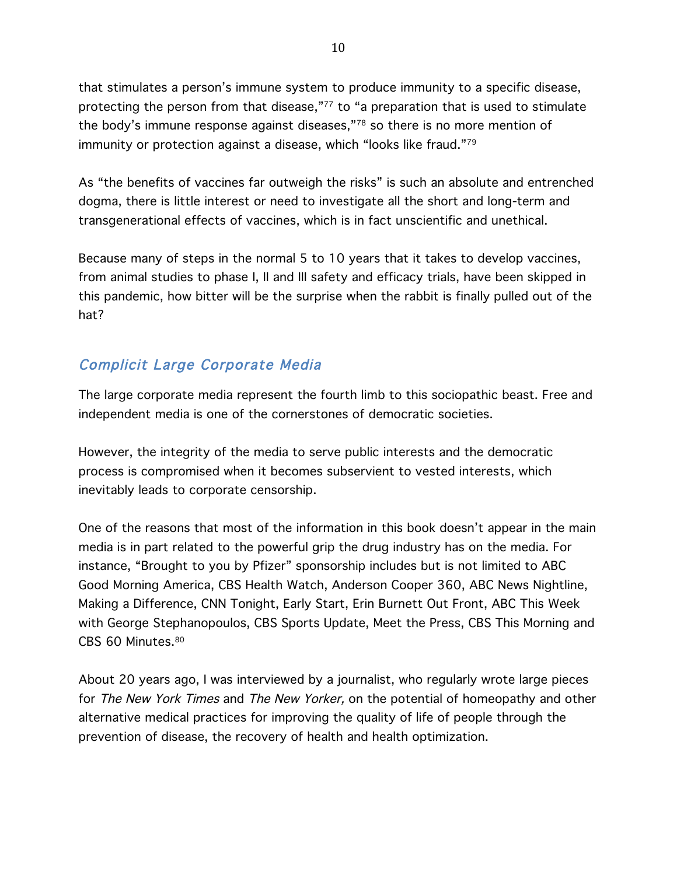that stimulates a person's immune system to produce immunity to a specific disease, protecting the person from that disease,"<sup>77</sup> to "a preparation that is used to stimulate the body's immune response against diseases,"78 so there is no more mention of immunity or protection against a disease, which "looks like fraud."79

As "the benefits of vaccines far outweigh the risks" is such an absolute and entrenched dogma, there is little interest or need to investigate all the short and long-term and transgenerational effects of vaccines, which is in fact unscientific and unethical.

Because many of steps in the normal 5 to 10 years that it takes to develop vaccines, from animal studies to phase I, II and III safety and efficacy trials, have been skipped in this pandemic, how bitter will be the surprise when the rabbit is finally pulled out of the hat?

## Complicit Large Corporate Media

The large corporate media represent the fourth limb to this sociopathic beast. Free and independent media is one of the cornerstones of democratic societies.

However, the integrity of the media to serve public interests and the democratic process is compromised when it becomes subservient to vested interests, which inevitably leads to corporate censorship.

One of the reasons that most of the information in this book doesn't appear in the main media is in part related to the powerful grip the drug industry has on the media. For instance, "Brought to you by Pfizer" sponsorship includes but is not limited to ABC Good Morning America, CBS Health Watch, Anderson Cooper 360, ABC News Nightline, Making a Difference, CNN Tonight, Early Start, Erin Burnett Out Front, ABC This Week with George Stephanopoulos, CBS Sports Update, Meet the Press, CBS This Morning and CBS 60 Minutes.80

About 20 years ago, I was interviewed by a journalist, who regularly wrote large pieces for The New York Times and The New Yorker, on the potential of homeopathy and other alternative medical practices for improving the quality of life of people through the prevention of disease, the recovery of health and health optimization.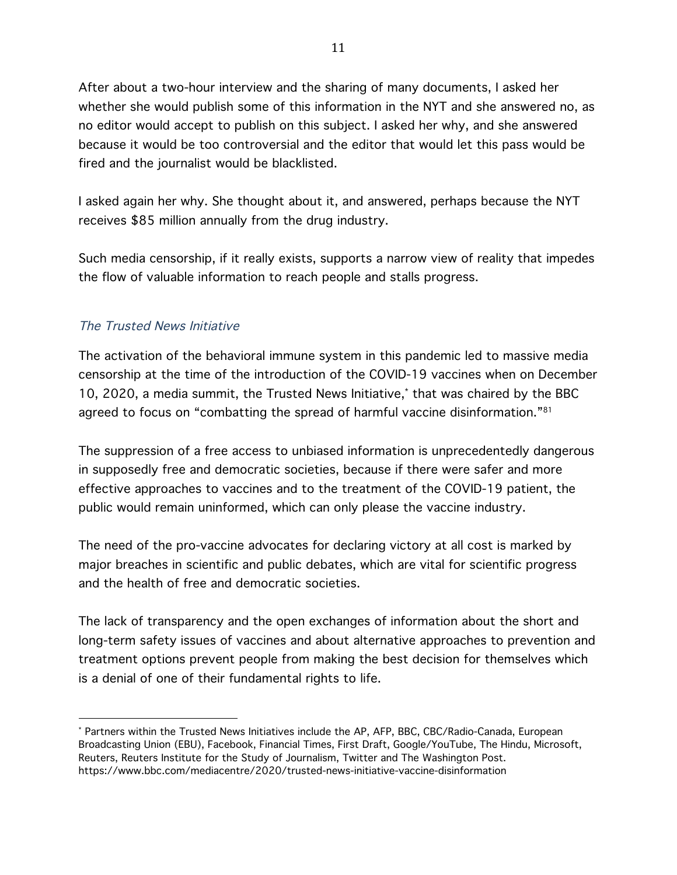After about a two-hour interview and the sharing of many documents, I asked her whether she would publish some of this information in the NYT and she answered no, as no editor would accept to publish on this subject. I asked her why, and she answered because it would be too controversial and the editor that would let this pass would be fired and the journalist would be blacklisted.

I asked again her why. She thought about it, and answered, perhaps because the NYT receives \$85 million annually from the drug industry.

Such media censorship, if it really exists, supports a narrow view of reality that impedes the flow of valuable information to reach people and stalls progress.

#### The Trusted News Initiative

 

The activation of the behavioral immune system in this pandemic led to massive media censorship at the time of the introduction of the COVID-19 vaccines when on December 10, 2020, a media summit, the Trusted News Initiative,\* that was chaired by the BBC agreed to focus on "combatting the spread of harmful vaccine disinformation."<sup>81</sup>

The suppression of a free access to unbiased information is unprecedentedly dangerous in supposedly free and democratic societies, because if there were safer and more effective approaches to vaccines and to the treatment of the COVID-19 patient, the public would remain uninformed, which can only please the vaccine industry.

The need of the pro-vaccine advocates for declaring victory at all cost is marked by major breaches in scientific and public debates, which are vital for scientific progress and the health of free and democratic societies.

The lack of transparency and the open exchanges of information about the short and long-term safety issues of vaccines and about alternative approaches to prevention and treatment options prevent people from making the best decision for themselves which is a denial of one of their fundamental rights to life.

<sup>\*</sup> Partners within the Trusted News Initiatives include the AP, AFP, BBC, CBC/Radio-Canada, European Broadcasting Union (EBU), Facebook, Financial Times, First Draft, Google/YouTube, The Hindu, Microsoft, Reuters, Reuters Institute for the Study of Journalism, Twitter and The Washington Post. https://www.bbc.com/mediacentre/2020/trusted-news-initiative-vaccine-disinformation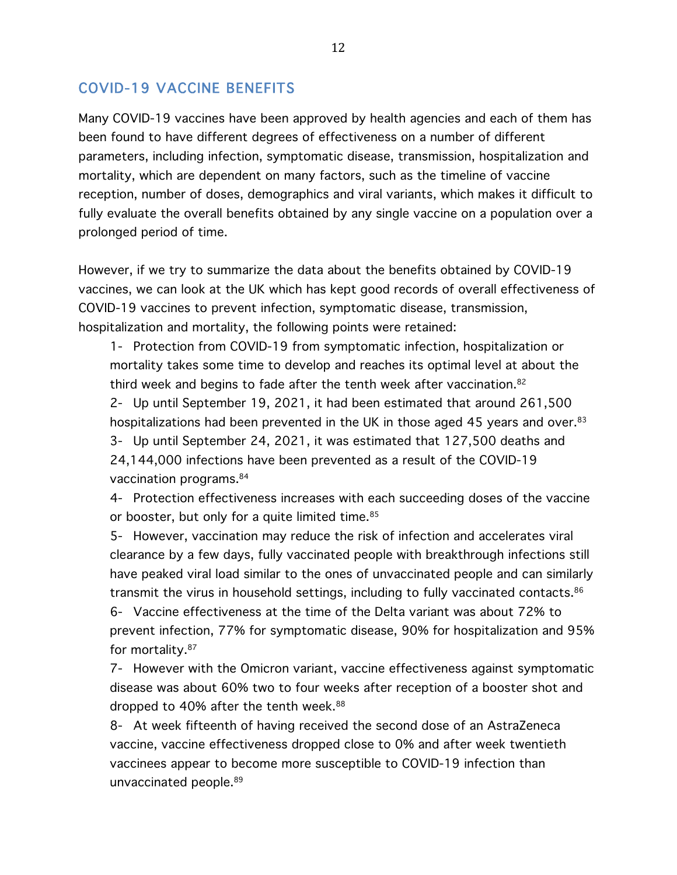#### COVID-19 VACCINE BENEFITS

Many COVID-19 vaccines have been approved by health agencies and each of them has been found to have different degrees of effectiveness on a number of different parameters, including infection, symptomatic disease, transmission, hospitalization and mortality, which are dependent on many factors, such as the timeline of vaccine reception, number of doses, demographics and viral variants, which makes it difficult to fully evaluate the overall benefits obtained by any single vaccine on a population over a prolonged period of time.

However, if we try to summarize the data about the benefits obtained by COVID-19 vaccines, we can look at the UK which has kept good records of overall effectiveness of COVID-19 vaccines to prevent infection, symptomatic disease, transmission, hospitalization and mortality, the following points were retained:

1- Protection from COVID-19 from symptomatic infection, hospitalization or mortality takes some time to develop and reaches its optimal level at about the third week and begins to fade after the tenth week after vaccination.<sup>82</sup> 2- Up until September 19, 2021, it had been estimated that around 261,500 hospitalizations had been prevented in the UK in those aged 45 years and over.<sup>83</sup> 3- Up until September 24, 2021, it was estimated that 127,500 deaths and 24,144,000 infections have been prevented as a result of the COVID-19 vaccination programs.84

4- Protection effectiveness increases with each succeeding doses of the vaccine or booster, but only for a quite limited time.<sup>85</sup>

5- However, vaccination may reduce the risk of infection and accelerates viral clearance by a few days, fully vaccinated people with breakthrough infections still have peaked viral load similar to the ones of unvaccinated people and can similarly transmit the virus in household settings, including to fully vaccinated contacts.86 6- Vaccine effectiveness at the time of the Delta variant was about 72% to prevent infection, 77% for symptomatic disease, 90% for hospitalization and 95% for mortality.87

7- However with the Omicron variant, vaccine effectiveness against symptomatic disease was about 60% two to four weeks after reception of a booster shot and dropped to 40% after the tenth week.<sup>88</sup>

8- At week fifteenth of having received the second dose of an AstraZeneca vaccine, vaccine effectiveness dropped close to 0% and after week twentieth vaccinees appear to become more susceptible to COVID-19 infection than unvaccinated people.89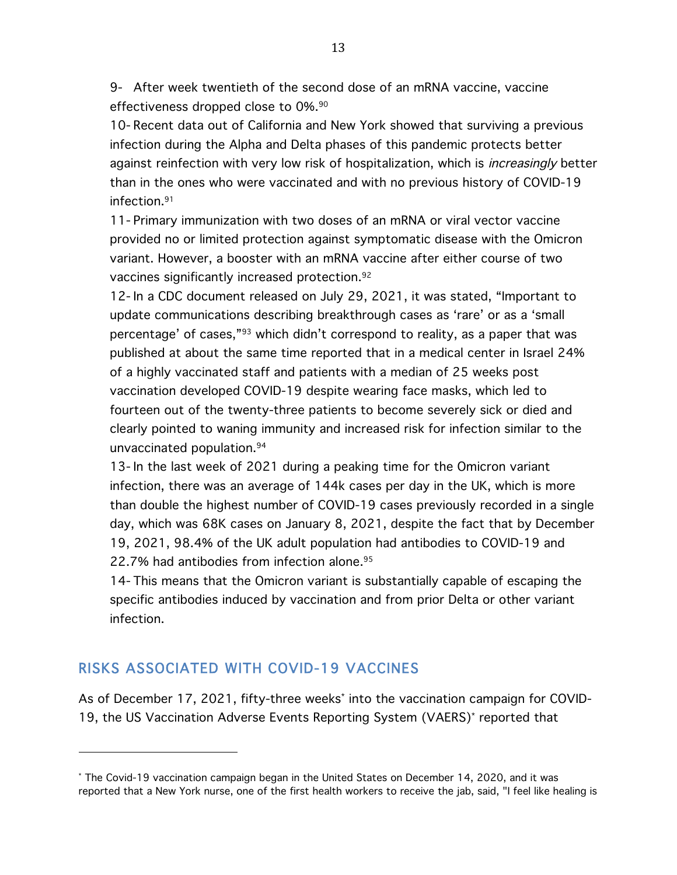9- After week twentieth of the second dose of an mRNA vaccine, vaccine effectiveness dropped close to 0%.90

10- Recent data out of California and New York showed that surviving a previous infection during the Alpha and Delta phases of this pandemic protects better against reinfection with very low risk of hospitalization, which is *increasingly* better than in the ones who were vaccinated and with no previous history of COVID-19 infection.91

11- Primary immunization with two doses of an mRNA or viral vector vaccine provided no or limited protection against symptomatic disease with the Omicron variant. However, a booster with an mRNA vaccine after either course of two vaccines significantly increased protection.92

12- In a CDC document released on July 29, 2021, it was stated, "Important to update communications describing breakthrough cases as 'rare' or as a 'small percentage' of cases,"93 which didn't correspond to reality, as a paper that was published at about the same time reported that in a medical center in Israel 24% of a highly vaccinated staff and patients with a median of 25 weeks post vaccination developed COVID-19 despite wearing face masks, which led to fourteen out of the twenty-three patients to become severely sick or died and clearly pointed to waning immunity and increased risk for infection similar to the unvaccinated population.94

13- In the last week of 2021 during a peaking time for the Omicron variant infection, there was an average of 144k cases per day in the UK, which is more than double the highest number of COVID-19 cases previously recorded in a single day, which was 68K cases on January 8, 2021, despite the fact that by December 19, 2021, 98.4% of the UK adult population had antibodies to COVID-19 and 22.7% had antibodies from infection alone. 95

14- This means that the Omicron variant is substantially capable of escaping the specific antibodies induced by vaccination and from prior Delta or other variant infection.

## RISKS ASSOCIATED WITH COVID-19 VACCINES

 

As of December 17, 2021, fifty-three weeks\* into the vaccination campaign for COVID-19, the US Vaccination Adverse Events Reporting System (VAERS)\* reported that

<sup>\*</sup> The Covid-19 vaccination campaign began in the United States on December 14, 2020, and it was reported that a New York nurse, one of the first health workers to receive the jab, said, "I feel like healing is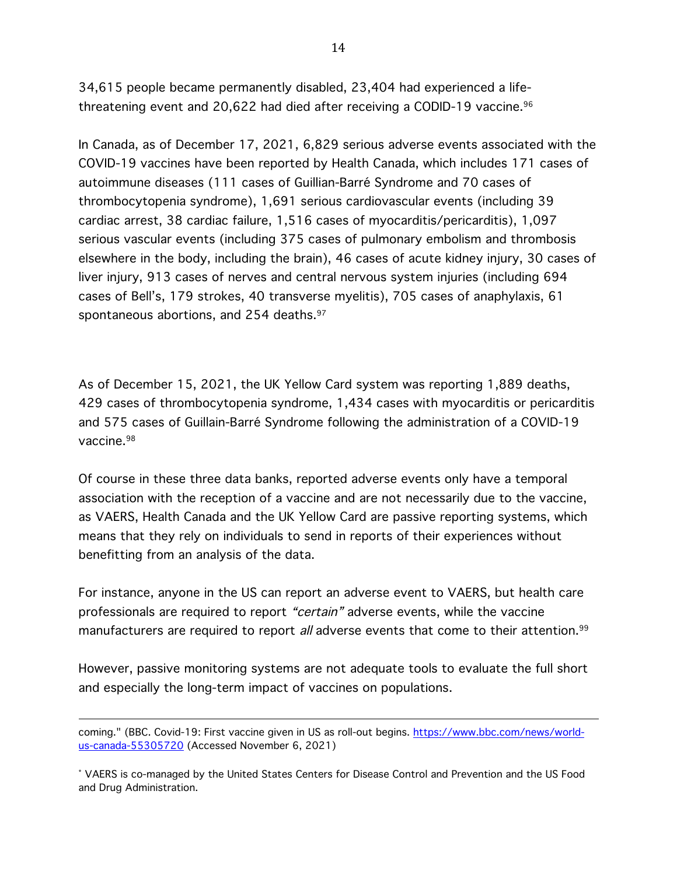34,615 people became permanently disabled, 23,404 had experienced a lifethreatening event and 20,622 had died after receiving a CODID-19 vaccine.<sup>96</sup>

In Canada, as of December 17, 2021, 6,829 serious adverse events associated with the COVID-19 vaccines have been reported by Health Canada, which includes 171 cases of autoimmune diseases (111 cases of Guillian-Barré Syndrome and 70 cases of thrombocytopenia syndrome), 1,691 serious cardiovascular events (including 39 cardiac arrest, 38 cardiac failure, 1,516 cases of myocarditis/pericarditis), 1,097 serious vascular events (including 375 cases of pulmonary embolism and thrombosis elsewhere in the body, including the brain), 46 cases of acute kidney injury, 30 cases of liver injury, 913 cases of nerves and central nervous system injuries (including 694 cases of Bell's, 179 strokes, 40 transverse myelitis), 705 cases of anaphylaxis, 61 spontaneous abortions, and 254 deaths.<sup>97</sup>

As of December 15, 2021, the UK Yellow Card system was reporting 1,889 deaths, 429 cases of thrombocytopenia syndrome, 1,434 cases with myocarditis or pericarditis and 575 cases of Guillain-Barré Syndrome following the administration of a COVID-19 vaccine.98

Of course in these three data banks, reported adverse events only have a temporal association with the reception of a vaccine and are not necessarily due to the vaccine, as VAERS, Health Canada and the UK Yellow Card are passive reporting systems, which means that they rely on individuals to send in reports of their experiences without benefitting from an analysis of the data.

For instance, anyone in the US can report an adverse event to VAERS, but health care professionals are required to report "certain" adverse events, while the vaccine manufacturers are required to report all adverse events that come to their attention.<sup>99</sup>

However, passive monitoring systems are not adequate tools to evaluate the full short and especially the long-term impact of vaccines on populations.

coming." (BBC. Covid-19: First vaccine given in US as roll-out begins. https://www.bbc.com/news/worldus-canada-55305720 (Accessed November 6, 2021)

<sup>\*</sup> VAERS is co-managed by the United States Centers for Disease Control and Prevention and the US Food and Drug Administration.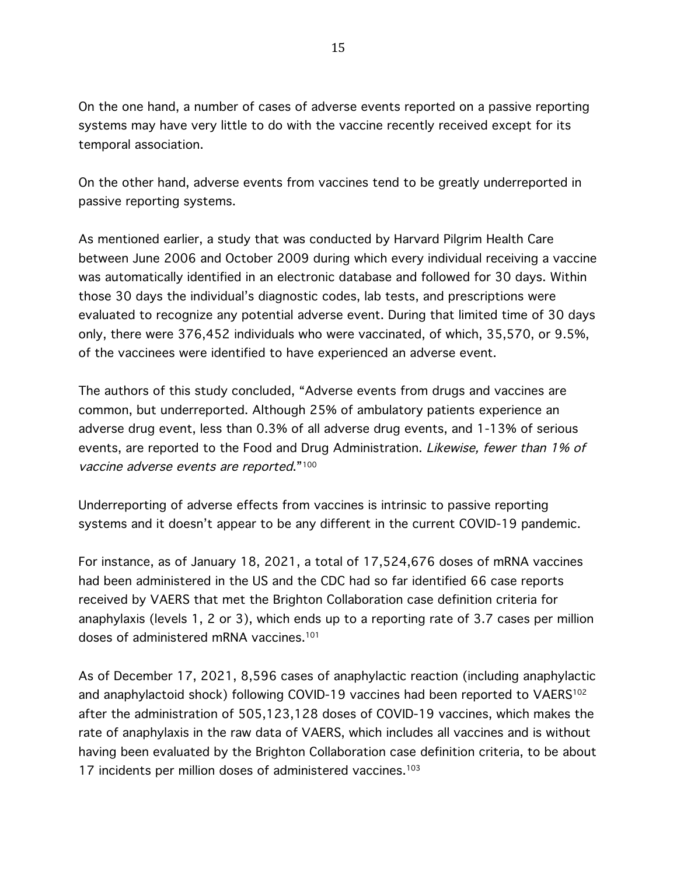On the one hand, a number of cases of adverse events reported on a passive reporting systems may have very little to do with the vaccine recently received except for its temporal association.

On the other hand, adverse events from vaccines tend to be greatly underreported in passive reporting systems.

As mentioned earlier, a study that was conducted by Harvard Pilgrim Health Care between June 2006 and October 2009 during which every individual receiving a vaccine was automatically identified in an electronic database and followed for 30 days. Within those 30 days the individual's diagnostic codes, lab tests, and prescriptions were evaluated to recognize any potential adverse event. During that limited time of 30 days only, there were 376,452 individuals who were vaccinated, of which, 35,570, or 9.5%, of the vaccinees were identified to have experienced an adverse event.

The authors of this study concluded, "Adverse events from drugs and vaccines are common, but underreported. Although 25% of ambulatory patients experience an adverse drug event, less than 0.3% of all adverse drug events, and 1-13% of serious events, are reported to the Food and Drug Administration. Likewise, fewer than 1% of vaccine adverse events are reported."100

Underreporting of adverse effects from vaccines is intrinsic to passive reporting systems and it doesn't appear to be any different in the current COVID-19 pandemic.

For instance, as of January 18, 2021, a total of 17,524,676 doses of mRNA vaccines had been administered in the US and the CDC had so far identified 66 case reports received by VAERS that met the Brighton Collaboration case definition criteria for anaphylaxis (levels 1, 2 or 3), which ends up to a reporting rate of 3.7 cases per million doses of administered mRNA vaccines.101

As of December 17, 2021, 8,596 cases of anaphylactic reaction (including anaphylactic and anaphylactoid shock) following COVID-19 vaccines had been reported to VAERS<sup>102</sup> after the administration of 505,123,128 doses of COVID-19 vaccines, which makes the rate of anaphylaxis in the raw data of VAERS, which includes all vaccines and is without having been evaluated by the Brighton Collaboration case definition criteria, to be about 17 incidents per million doses of administered vaccines.<sup>103</sup>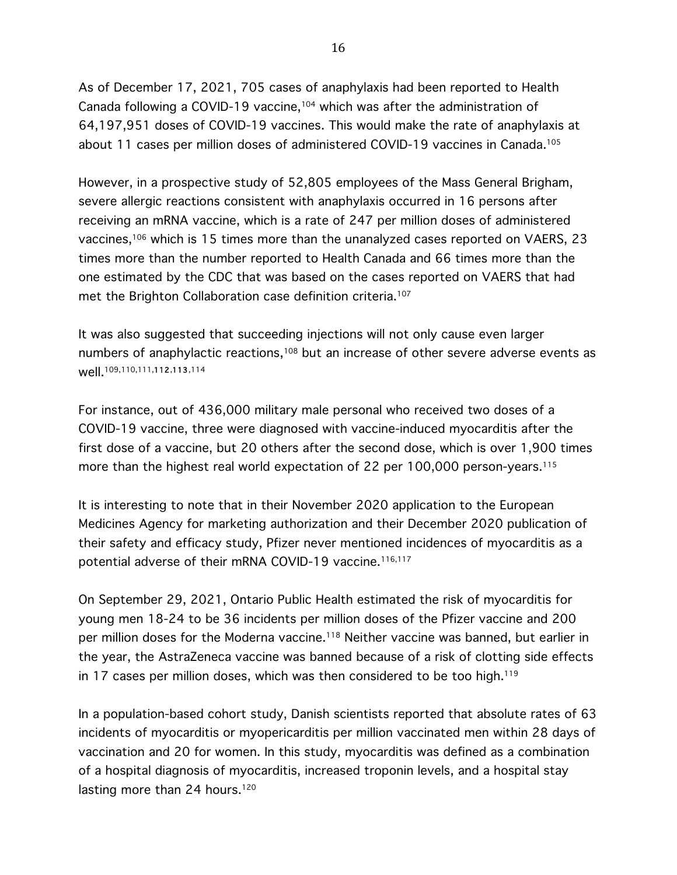As of December 17, 2021, 705 cases of anaphylaxis had been reported to Health Canada following a COVID-19 vaccine,<sup>104</sup> which was after the administration of 64,197,951 doses of COVID-19 vaccines. This would make the rate of anaphylaxis at about 11 cases per million doses of administered COVID-19 vaccines in Canada.105

However, in a prospective study of 52,805 employees of the Mass General Brigham, severe allergic reactions consistent with anaphylaxis occurred in 16 persons after receiving an mRNA vaccine, which is a rate of 247 per million doses of administered vaccines,106 which is 15 times more than the unanalyzed cases reported on VAERS, 23 times more than the number reported to Health Canada and 66 times more than the one estimated by the CDC that was based on the cases reported on VAERS that had met the Brighton Collaboration case definition criteria. 107

It was also suggested that succeeding injections will not only cause even larger numbers of anaphylactic reactions,<sup>108</sup> but an increase of other severe adverse events as well.109,110,111,112,113,114

For instance, out of 436,000 military male personal who received two doses of a COVID-19 vaccine, three were diagnosed with vaccine-induced myocarditis after the first dose of a vaccine, but 20 others after the second dose, which is over 1,900 times more than the highest real world expectation of 22 per 100,000 person-years.<sup>115</sup>

It is interesting to note that in their November 2020 application to the European Medicines Agency for marketing authorization and their December 2020 publication of their safety and efficacy study, Pfizer never mentioned incidences of myocarditis as a potential adverse of their mRNA COVID-19 vaccine.<sup>116,117</sup>

On September 29, 2021, Ontario Public Health estimated the risk of myocarditis for young men 18-24 to be 36 incidents per million doses of the Pfizer vaccine and 200 per million doses for the Moderna vaccine.<sup>118</sup> Neither vaccine was banned, but earlier in the year, the AstraZeneca vaccine was banned because of a risk of clotting side effects in 17 cases per million doses, which was then considered to be too high.<sup>119</sup>

In a population-based cohort study, Danish scientists reported that absolute rates of 63 incidents of myocarditis or myopericarditis per million vaccinated men within 28 days of vaccination and 20 for women. In this study, myocarditis was defined as a combination of a hospital diagnosis of myocarditis, increased troponin levels, and a hospital stay lasting more than 24 hours.<sup>120</sup>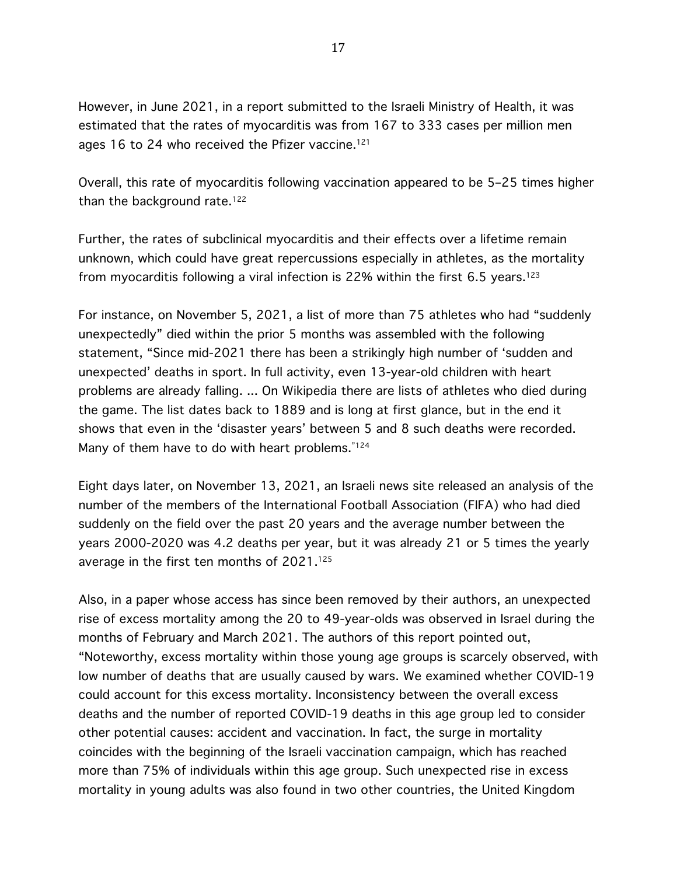However, in June 2021, in a report submitted to the Israeli Ministry of Health, it was estimated that the rates of myocarditis was from 167 to 333 cases per million men ages 16 to 24 who received the Pfizer vaccine.<sup>121</sup>

Overall, this rate of myocarditis following vaccination appeared to be 5–25 times higher than the background rate.<sup>122</sup>

Further, the rates of subclinical myocarditis and their effects over a lifetime remain unknown, which could have great repercussions especially in athletes, as the mortality from myocarditis following a viral infection is 22% within the first 6.5 years.<sup>123</sup>

For instance, on November 5, 2021, a list of more than 75 athletes who had "suddenly unexpectedly" died within the prior 5 months was assembled with the following statement, "Since mid-2021 there has been a strikingly high number of 'sudden and unexpected' deaths in sport. In full activity, even 13-year-old children with heart problems are already falling. ... On Wikipedia there are lists of athletes who died during the game. The list dates back to 1889 and is long at first glance, but in the end it shows that even in the 'disaster years' between 5 and 8 such deaths were recorded. Many of them have to do with heart problems."<sup>124</sup>

Eight days later, on November 13, 2021, an Israeli news site released an analysis of the number of the members of the International Football Association (FIFA) who had died suddenly on the field over the past 20 years and the average number between the years 2000-2020 was 4.2 deaths per year, but it was already 21 or 5 times the yearly average in the first ten months of 2021.125

Also, in a paper whose access has since been removed by their authors, an unexpected rise of excess mortality among the 20 to 49-year-olds was observed in Israel during the months of February and March 2021. The authors of this report pointed out, "Noteworthy, excess mortality within those young age groups is scarcely observed, with low number of deaths that are usually caused by wars. We examined whether COVID-19 could account for this excess mortality. Inconsistency between the overall excess deaths and the number of reported COVID-19 deaths in this age group led to consider other potential causes: accident and vaccination. In fact, the surge in mortality coincides with the beginning of the Israeli vaccination campaign, which has reached more than 75% of individuals within this age group. Such unexpected rise in excess mortality in young adults was also found in two other countries, the United Kingdom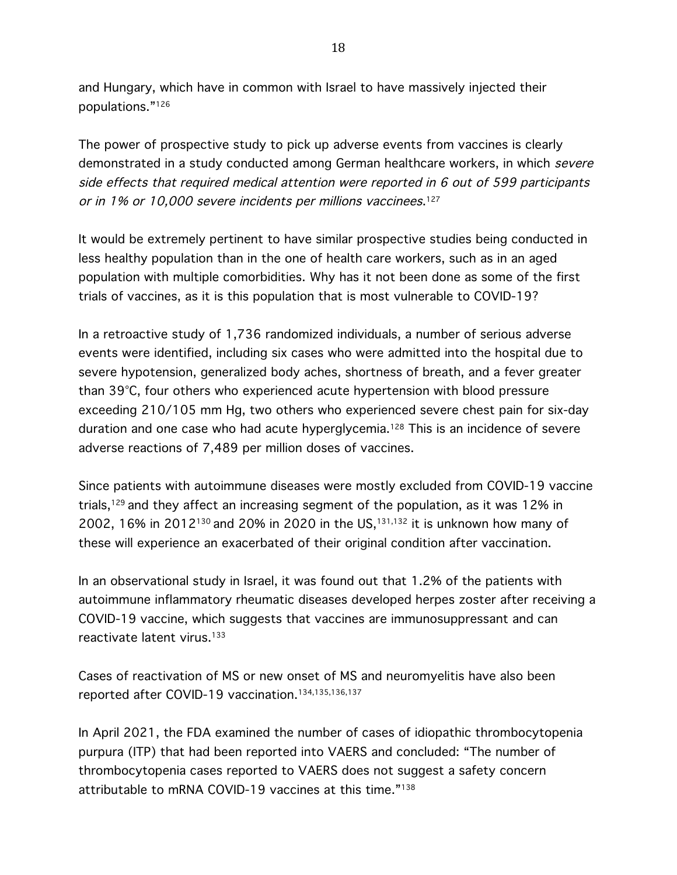and Hungary, which have in common with Israel to have massively injected their populations."126

The power of prospective study to pick up adverse events from vaccines is clearly demonstrated in a study conducted among German healthcare workers, in which severe side effects that required medical attention were reported in 6 out of 599 participants or in 1% or 10,000 severe incidents per millions vaccinees. 127

It would be extremely pertinent to have similar prospective studies being conducted in less healthy population than in the one of health care workers, such as in an aged population with multiple comorbidities. Why has it not been done as some of the first trials of vaccines, as it is this population that is most vulnerable to COVID-19?

In a retroactive study of 1,736 randomized individuals, a number of serious adverse events were identified, including six cases who were admitted into the hospital due to severe hypotension, generalized body aches, shortness of breath, and a fever greater than 39°C, four others who experienced acute hypertension with blood pressure exceeding 210/105 mm Hg, two others who experienced severe chest pain for six-day duration and one case who had acute hyperglycemia.<sup>128</sup> This is an incidence of severe adverse reactions of 7,489 per million doses of vaccines.

Since patients with autoimmune diseases were mostly excluded from COVID-19 vaccine trials,129 and they affect an increasing segment of the population, as it was 12% in 2002, 16% in 2012<sup>130</sup> and 20% in 2020 in the US,<sup>131,132</sup> it is unknown how many of these will experience an exacerbated of their original condition after vaccination.

In an observational study in Israel, it was found out that 1.2% of the patients with autoimmune inflammatory rheumatic diseases developed herpes zoster after receiving a COVID-19 vaccine, which suggests that vaccines are immunosuppressant and can reactivate latent virus.<sup>133</sup>

Cases of reactivation of MS or new onset of MS and neuromyelitis have also been reported after COVID-19 vaccination.134,135,136,137

In April 2021, the FDA examined the number of cases of idiopathic thrombocytopenia purpura (ITP) that had been reported into VAERS and concluded: "The number of thrombocytopenia cases reported to VAERS does not suggest a safety concern attributable to mRNA COVID-19 vaccines at this time."138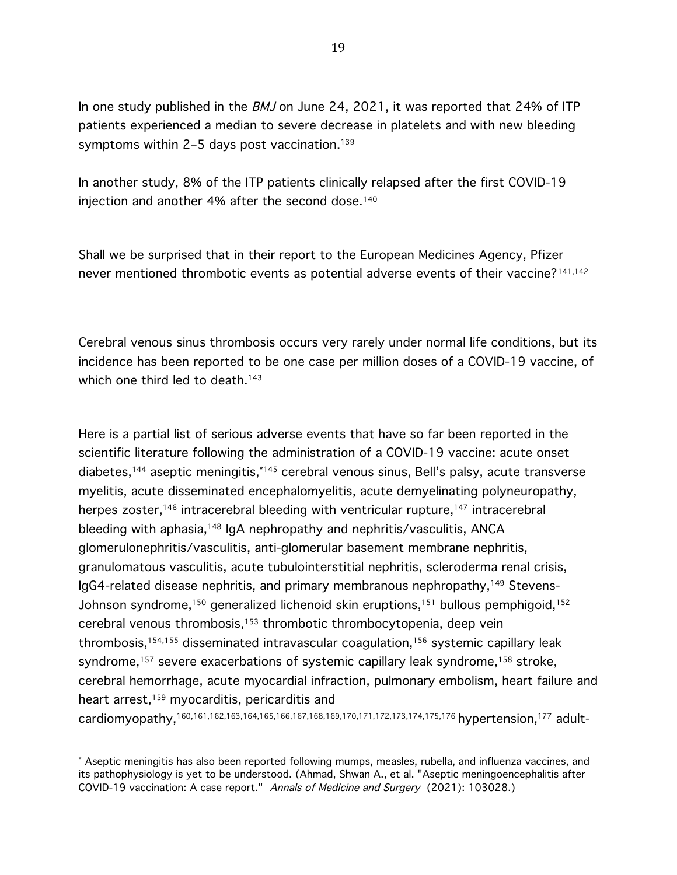In one study published in the BMJ on June 24, 2021, it was reported that 24% of ITP patients experienced a median to severe decrease in platelets and with new bleeding symptoms within 2-5 days post vaccination.<sup>139</sup>

In another study, 8% of the ITP patients clinically relapsed after the first COVID-19 injection and another 4% after the second dose.<sup>140</sup>

Shall we be surprised that in their report to the European Medicines Agency, Pfizer never mentioned thrombotic events as potential adverse events of their vaccine?<sup>141,142</sup>

Cerebral venous sinus thrombosis occurs very rarely under normal life conditions, but its incidence has been reported to be one case per million doses of a COVID-19 vaccine, of which one third led to death.<sup>143</sup>

Here is a partial list of serious adverse events that have so far been reported in the scientific literature following the administration of a COVID-19 vaccine: acute onset diabetes,144 aseptic meningitis,\*145 cerebral venous sinus, Bell's palsy, acute transverse myelitis, acute disseminated encephalomyelitis, acute demyelinating polyneuropathy, herpes zoster,<sup>146</sup> intracerebral bleeding with ventricular rupture,<sup>147</sup> intracerebral bleeding with aphasia,<sup>148</sup> IgA nephropathy and nephritis/vasculitis, ANCA glomerulonephritis/vasculitis, anti-glomerular basement membrane nephritis, granulomatous vasculitis, acute tubulointerstitial nephritis, scleroderma renal crisis, IgG4-related disease nephritis, and primary membranous nephropathy,149 Stevens-Johnson syndrome,<sup>150</sup> generalized lichenoid skin eruptions,<sup>151</sup> bullous pemphigoid,<sup>152</sup> cerebral venous thrombosis,153 thrombotic thrombocytopenia, deep vein thrombosis,<sup>154,155</sup> disseminated intravascular coagulation,<sup>156</sup> systemic capillary leak syndrome, <sup>157</sup> severe exacerbations of systemic capillary leak syndrome,158 stroke, cerebral hemorrhage, acute myocardial infraction, pulmonary embolism, heart failure and heart arrest,<sup>159</sup> myocarditis, pericarditis and

cardiomyopathy,160,161,162,163,164,165,166,167,168,169,170,171,172,173,174,175,176 hypertension,177 adult-

<sup>\*</sup> Aseptic meningitis has also been reported following mumps, measles, rubella, and influenza vaccines, and its pathophysiology is yet to be understood. (Ahmad, Shwan A., et al. "Aseptic meningoencephalitis after COVID-19 vaccination: A case report." Annals of Medicine and Surgery (2021): 103028.)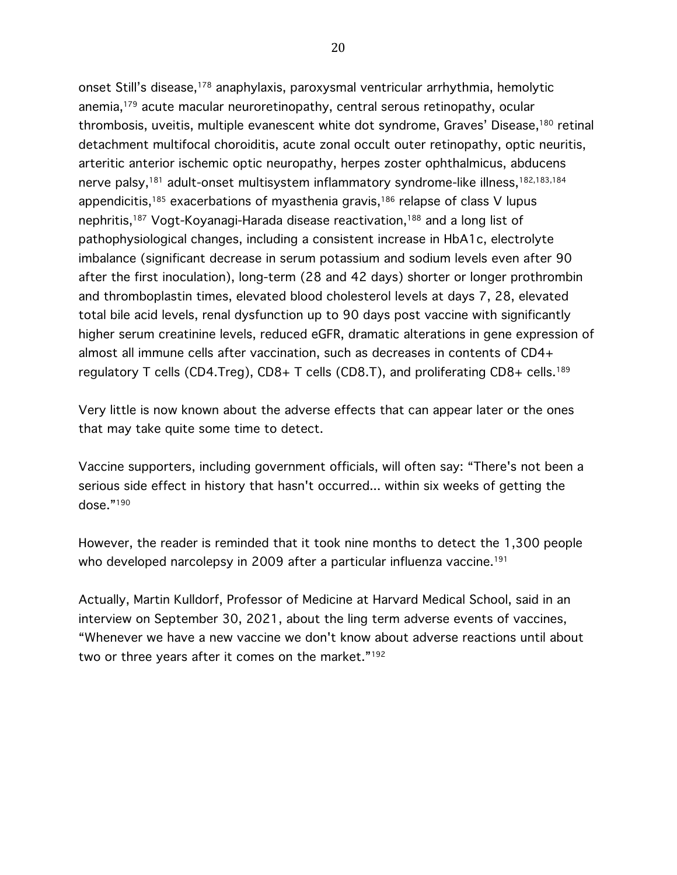onset Still's disease,<sup>178</sup> anaphylaxis, paroxysmal ventricular arrhythmia, hemolytic anemia,179 acute macular neuroretinopathy, central serous retinopathy, ocular thrombosis, uveitis, multiple evanescent white dot syndrome, Graves' Disease,<sup>180</sup> retinal detachment multifocal choroiditis, acute zonal occult outer retinopathy, optic neuritis, arteritic anterior ischemic optic neuropathy, herpes zoster ophthalmicus, abducens nerve palsy,<sup>181</sup> adult-onset multisystem inflammatory syndrome-like illness,<sup>182,183,184</sup> appendicitis,<sup>185</sup> exacerbations of myasthenia gravis,<sup>186</sup> relapse of class V lupus nephritis,187 Vogt-Koyanagi-Harada disease reactivation,188 and a long list of pathophysiological changes, including a consistent increase in HbA1c, electrolyte imbalance (significant decrease in serum potassium and sodium levels even after 90 after the first inoculation), long-term (28 and 42 days) shorter or longer prothrombin and thromboplastin times, elevated blood cholesterol levels at days 7, 28, elevated total bile acid levels, renal dysfunction up to 90 days post vaccine with significantly higher serum creatinine levels, reduced eGFR, dramatic alterations in gene expression of almost all immune cells after vaccination, such as decreases in contents of CD4+ regulatory T cells (CD4.Treg),  $CD8+T$  cells (CD8.T), and proliferating  $CD8+$  cells.<sup>189</sup>

Very little is now known about the adverse effects that can appear later or the ones that may take quite some time to detect.

Vaccine supporters, including government officials, will often say: "There's not been a serious side effect in history that hasn't occurred... within six weeks of getting the dose."190

However, the reader is reminded that it took nine months to detect the 1,300 people who developed narcolepsy in 2009 after a particular influenza vaccine.<sup>191</sup>

Actually, Martin Kulldorf, Professor of Medicine at Harvard Medical School, said in an interview on September 30, 2021, about the ling term adverse events of vaccines, "Whenever we have a new vaccine we don't know about adverse reactions until about two or three years after it comes on the market."<sup>192</sup>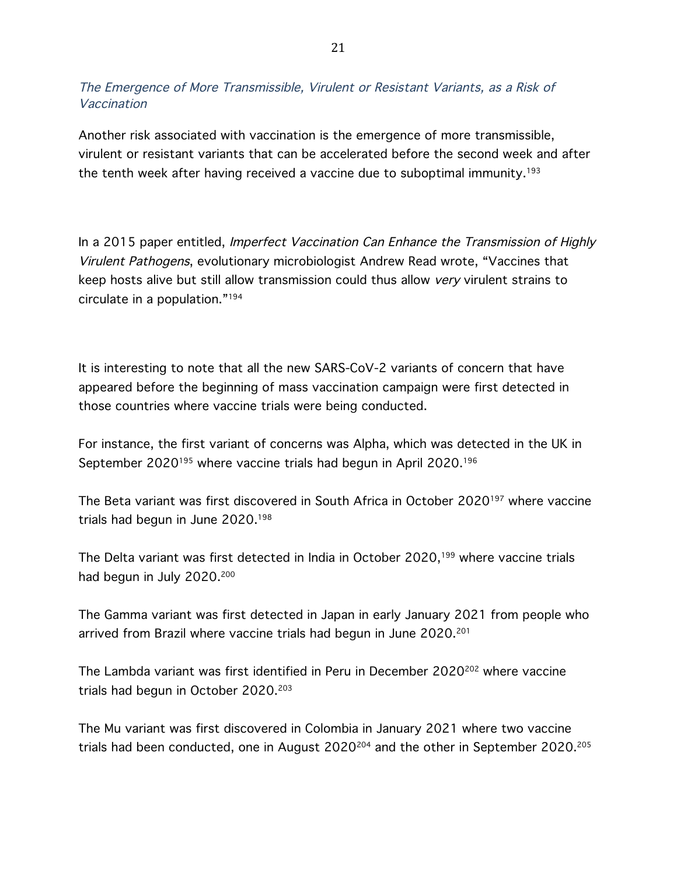The Emergence of More Transmissible, Virulent or Resistant Variants, as a Risk of Vaccination

Another risk associated with vaccination is the emergence of more transmissible, virulent or resistant variants that can be accelerated before the second week and after the tenth week after having received a vaccine due to suboptimal immunity.<sup>193</sup>

In a 2015 paper entitled, Imperfect Vaccination Can Enhance the Transmission of Highly Virulent Pathogens, evolutionary microbiologist Andrew Read wrote, "Vaccines that keep hosts alive but still allow transmission could thus allow very virulent strains to circulate in a population."194

It is interesting to note that all the new SARS-CoV-2 variants of concern that have appeared before the beginning of mass vaccination campaign were first detected in those countries where vaccine trials were being conducted.

For instance, the first variant of concerns was Alpha, which was detected in the UK in September 2020<sup>195</sup> where vaccine trials had begun in April 2020.<sup>196</sup>

The Beta variant was first discovered in South Africa in October 2020197 where vaccine trials had begun in June 2020.198

The Delta variant was first detected in India in October 2020,199 where vaccine trials had begun in July 2020.<sup>200</sup>

The Gamma variant was first detected in Japan in early January 2021 from people who arrived from Brazil where vaccine trials had begun in June 2020.<sup>201</sup>

The Lambda variant was first identified in Peru in December 2020<sup>202</sup> where vaccine trials had begun in October 2020.203

The Mu variant was first discovered in Colombia in January 2021 where two vaccine trials had been conducted, one in August  $2020^{204}$  and the other in September  $2020.^{205}$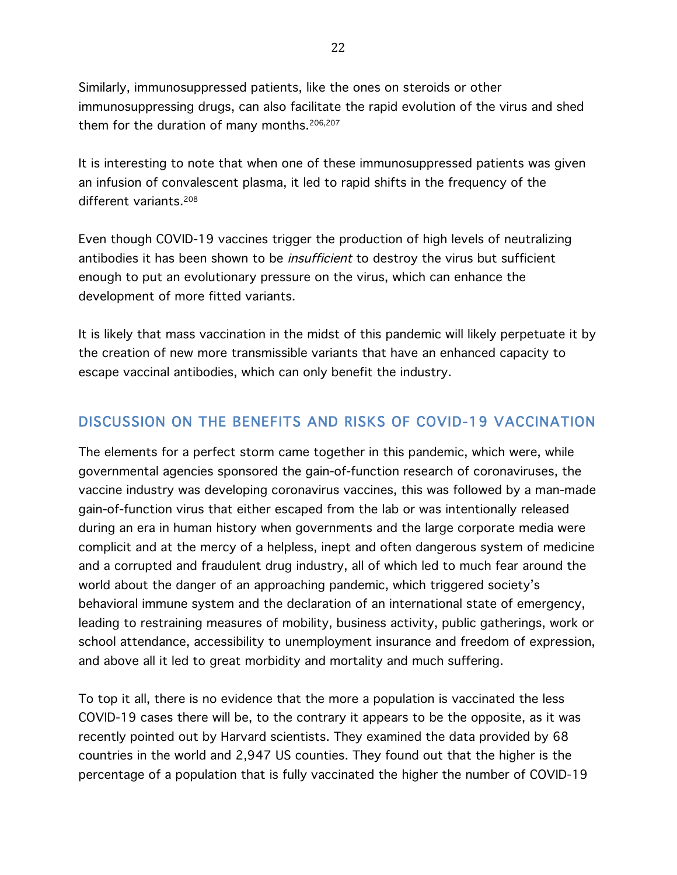Similarly, immunosuppressed patients, like the ones on steroids or other immunosuppressing drugs, can also facilitate the rapid evolution of the virus and shed them for the duration of many months.<sup>206,207</sup>

It is interesting to note that when one of these immunosuppressed patients was given an infusion of convalescent plasma, it led to rapid shifts in the frequency of the different variants.<sup>208</sup>

Even though COVID-19 vaccines trigger the production of high levels of neutralizing antibodies it has been shown to be *insufficient* to destroy the virus but sufficient enough to put an evolutionary pressure on the virus, which can enhance the development of more fitted variants.

It is likely that mass vaccination in the midst of this pandemic will likely perpetuate it by the creation of new more transmissible variants that have an enhanced capacity to escape vaccinal antibodies, which can only benefit the industry.

## DISCUSSION ON THE BENEFITS AND RISKS OF COVID-19 VACCINATION

The elements for a perfect storm came together in this pandemic, which were, while governmental agencies sponsored the gain-of-function research of coronaviruses, the vaccine industry was developing coronavirus vaccines, this was followed by a man-made gain-of-function virus that either escaped from the lab or was intentionally released during an era in human history when governments and the large corporate media were complicit and at the mercy of a helpless, inept and often dangerous system of medicine and a corrupted and fraudulent drug industry, all of which led to much fear around the world about the danger of an approaching pandemic, which triggered society's behavioral immune system and the declaration of an international state of emergency, leading to restraining measures of mobility, business activity, public gatherings, work or school attendance, accessibility to unemployment insurance and freedom of expression, and above all it led to great morbidity and mortality and much suffering.

To top it all, there is no evidence that the more a population is vaccinated the less COVID-19 cases there will be, to the contrary it appears to be the opposite, as it was recently pointed out by Harvard scientists. They examined the data provided by 68 countries in the world and 2,947 US counties. They found out that the higher is the percentage of a population that is fully vaccinated the higher the number of COVID-19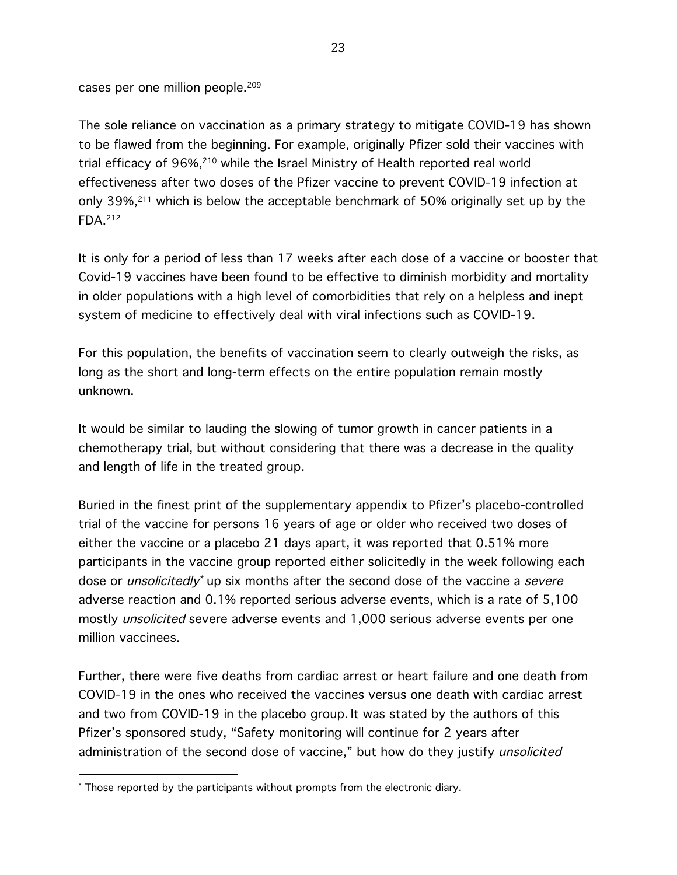cases per one million people.<sup>209</sup>

The sole reliance on vaccination as a primary strategy to mitigate COVID-19 has shown to be flawed from the beginning. For example, originally Pfizer sold their vaccines with trial efficacy of 96%,<sup>210</sup> while the Israel Ministry of Health reported real world effectiveness after two doses of the Pfizer vaccine to prevent COVID-19 infection at only  $39\%$ ,<sup>211</sup> which is below the acceptable benchmark of 50% originally set up by the FDA.212

It is only for a period of less than 17 weeks after each dose of a vaccine or booster that Covid-19 vaccines have been found to be effective to diminish morbidity and mortality in older populations with a high level of comorbidities that rely on a helpless and inept system of medicine to effectively deal with viral infections such as COVID-19.

For this population, the benefits of vaccination seem to clearly outweigh the risks, as long as the short and long-term effects on the entire population remain mostly unknown.

It would be similar to lauding the slowing of tumor growth in cancer patients in a chemotherapy trial, but without considering that there was a decrease in the quality and length of life in the treated group.

Buried in the finest print of the supplementary appendix to Pfizer's placebo-controlled trial of the vaccine for persons 16 years of age or older who received two doses of either the vaccine or a placebo 21 days apart, it was reported that 0.51% more participants in the vaccine group reported either solicitedly in the week following each dose or *unsolicitedly*<sup>\*</sup> up six months after the second dose of the vaccine a *severe* adverse reaction and 0.1% reported serious adverse events, which is a rate of 5,100 mostly unsolicited severe adverse events and 1,000 serious adverse events per one million vaccinees.

Further, there were five deaths from cardiac arrest or heart failure and one death from COVID-19 in the ones who received the vaccines versus one death with cardiac arrest and two from COVID-19 in the placebo group. It was stated by the authors of this Pfizer's sponsored study, "Safety monitoring will continue for 2 years after administration of the second dose of vaccine," but how do they justify unsolicited

<sup>\*</sup> Those reported by the participants without prompts from the electronic diary.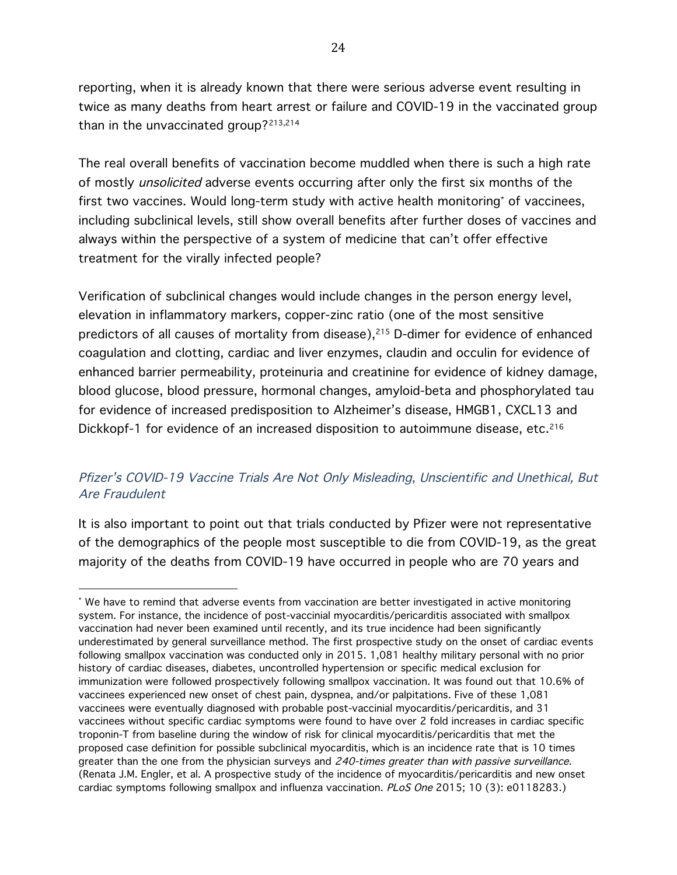reporting, when it is already known that there were serious adverse event resulting in twice as many deaths from heart arrest or failure and COVID-19 in the vaccinated group than in the unvaccinated group?213,214

The real overall benefits of vaccination become muddled when there is such a high rate of mostly unsolicited adverse events occurring after only the first six months of the first two vaccines. Would long-term study with active health monitoring\* of vaccinees, including subclinical levels, still show overall benefits after further doses of vaccines and always within the perspective of a system of medicine that can't offer effective treatment for the virally infected people?

Verification of subclinical changes would include changes in the person energy level, elevation in inflammatory markers, copper-zinc ratio (one of the most sensitive predictors of all causes of mortality from disease), $215$  D-dimer for evidence of enhanced coagulation and clotting, cardiac and liver enzymes, claudin and occulin for evidence of enhanced barrier permeability, proteinuria and creatinine for evidence of kidney damage, blood glucose, blood pressure, hormonal changes, amyloid-beta and phosphorylated tau for evidence of increased predisposition to Alzheimer's disease, HMGB1, CXCL13 and Dickkopf-1 for evidence of an increased disposition to autoimmune disease, etc.<sup>216</sup>

#### Pfizer's COVID-19 Vaccine Trials Are Not Only Misleading, Unscientific and Unethical, But Are Fraudulent

It is also important to point out that trials conducted by Pfizer were not representative of the demographics of the people most susceptible to die from COVID-19, as the great majority of the deaths from COVID-19 have occurred in people who are 70 years and

<sup>\*</sup> We have to remind that adverse events from vaccination are better investigated in active monitoring system. For instance, the incidence of post-vaccinial myocarditis/pericarditis associated with smallpox vaccination had never been examined until recently, and its true incidence had been significantly underestimated by general surveillance method. The first prospective study on the onset of cardiac events following smallpox vaccination was conducted only in 2015. 1,081 healthy military personal with no prior history of cardiac diseases, diabetes, uncontrolled hypertension or specific medical exclusion for immunization were followed prospectively following smallpox vaccination. It was found out that 10.6% of vaccinees experienced new onset of chest pain, dyspnea, and/or palpitations. Five of these 1,081 vaccinees were eventually diagnosed with probable post-vaccinial myocarditis/pericarditis, and 31 vaccinees without specific cardiac symptoms were found to have over 2 fold increases in cardiac specific troponin-T from baseline during the window of risk for clinical myocarditis/pericarditis that met the proposed case definition for possible subclinical myocarditis, which is an incidence rate that is 10 times greater than the one from the physician surveys and 240-times greater than with passive surveillance. (Renata J.M. Engler, et al. A prospective study of the incidence of myocarditis/pericarditis and new onset cardiac symptoms following smallpox and influenza vaccination. PLoS One 2015; 10 (3): e0118283.)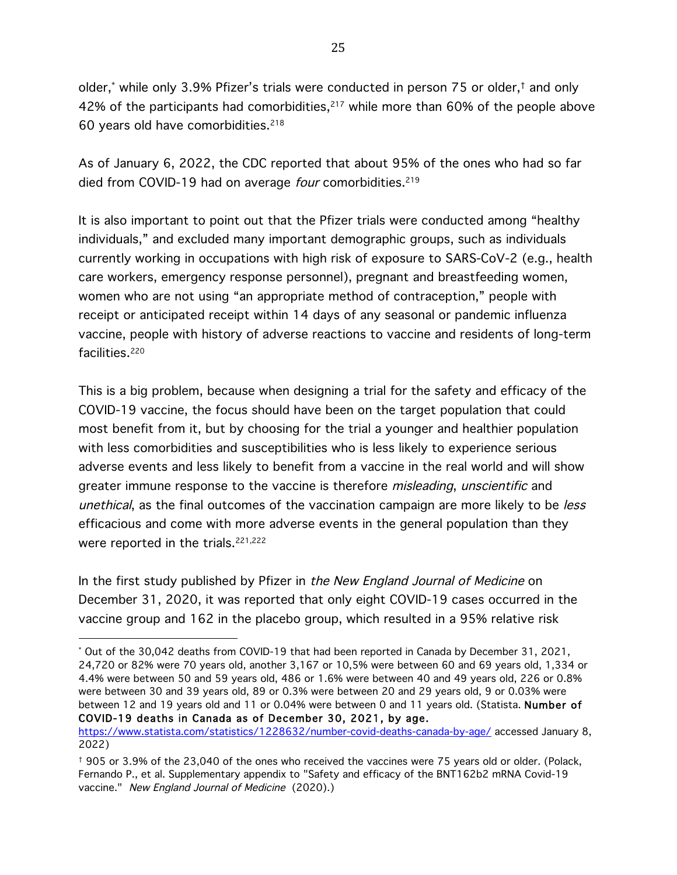older,\* while only 3.9% Pfizer's trials were conducted in person 75 or older,† and only 42% of the participants had comorbidities, $217$  while more than 60% of the people above 60 years old have comorbidities.218

As of January 6, 2022, the CDC reported that about 95% of the ones who had so far died from COVID-19 had on average four comorbidities.<sup>219</sup>

It is also important to point out that the Pfizer trials were conducted among "healthy individuals," and excluded many important demographic groups, such as individuals currently working in occupations with high risk of exposure to SARS-CoV-2 (e.g., health care workers, emergency response personnel), pregnant and breastfeeding women, women who are not using "an appropriate method of contraception," people with receipt or anticipated receipt within 14 days of any seasonal or pandemic influenza vaccine, people with history of adverse reactions to vaccine and residents of long-term facilities.<sup>220</sup>

This is a big problem, because when designing a trial for the safety and efficacy of the COVID-19 vaccine, the focus should have been on the target population that could most benefit from it, but by choosing for the trial a younger and healthier population with less comorbidities and susceptibilities who is less likely to experience serious adverse events and less likely to benefit from a vaccine in the real world and will show greater immune response to the vaccine is therefore *misleading*, *unscientific* and unethical, as the final outcomes of the vaccination campaign are more likely to be less efficacious and come with more adverse events in the general population than they were reported in the trials.<sup>221,222</sup>

In the first study published by Pfizer in the New England Journal of Medicine on December 31, 2020, it was reported that only eight COVID-19 cases occurred in the vaccine group and 162 in the placebo group, which resulted in a 95% relative risk

<sup>\*</sup> Out of the 30,042 deaths from COVID-19 that had been reported in Canada by December 31, 2021, 24,720 or 82% were 70 years old, another 3,167 or 10,5% were between 60 and 69 years old, 1,334 or 4.4% were between 50 and 59 years old, 486 or 1.6% were between 40 and 49 years old, 226 or 0.8% were between 30 and 39 years old, 89 or 0.3% were between 20 and 29 years old, 9 or 0.03% were between 12 and 19 years old and 11 or 0.04% were between 0 and 11 years old. (Statista. Number of COVID-19 deaths in Canada as of December 30, 2021, by age.

https://www.statista.com/statistics/1228632/number-covid-deaths-canada-by-age/ accessed January 8, 2022)

<sup>†</sup> 905 or 3.9% of the 23,040 of the ones who received the vaccines were 75 years old or older. (Polack, Fernando P., et al. Supplementary appendix to "Safety and efficacy of the BNT162b2 mRNA Covid-19 vaccine." New England Journal of Medicine (2020).)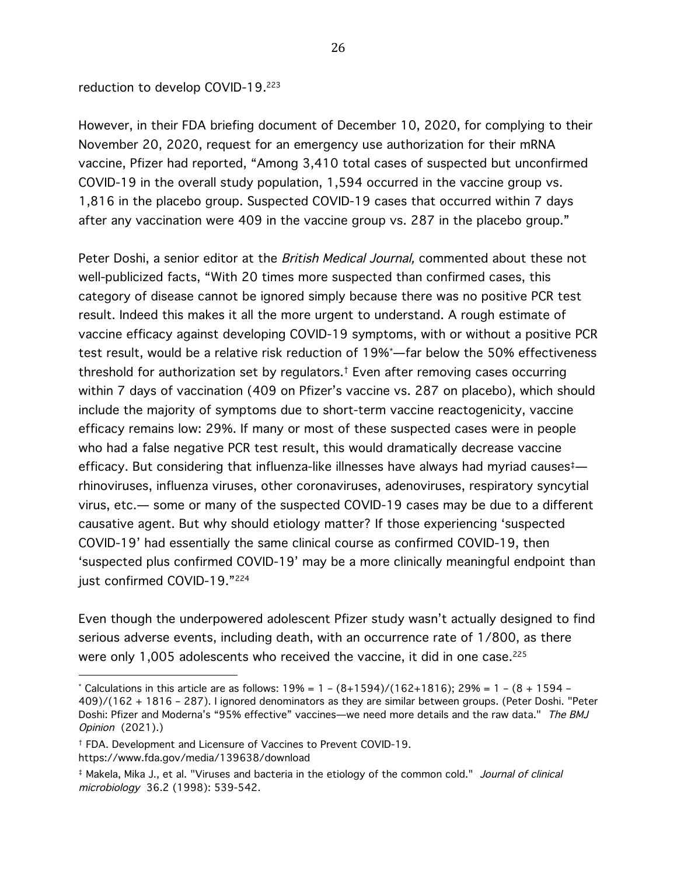reduction to develop COVID-19.223

However, in their FDA briefing document of December 10, 2020, for complying to their November 20, 2020, request for an emergency use authorization for their mRNA vaccine, Pfizer had reported, "Among 3,410 total cases of suspected but unconfirmed COVID-19 in the overall study population, 1,594 occurred in the vaccine group vs. 1,816 in the placebo group. Suspected COVID-19 cases that occurred within 7 days after any vaccination were 409 in the vaccine group vs. 287 in the placebo group."

Peter Doshi, a senior editor at the *British Medical Journal*, commented about these not well-publicized facts, "With 20 times more suspected than confirmed cases, this category of disease cannot be ignored simply because there was no positive PCR test result. Indeed this makes it all the more urgent to understand. A rough estimate of vaccine efficacy against developing COVID-19 symptoms, with or without a positive PCR test result, would be a relative risk reduction of 19%\* —far below the 50% effectiveness threshold for authorization set by regulators.† Even after removing cases occurring within 7 days of vaccination (409 on Pfizer's vaccine vs. 287 on placebo), which should include the majority of symptoms due to short-term vaccine reactogenicity, vaccine efficacy remains low: 29%. If many or most of these suspected cases were in people who had a false negative PCR test result, this would dramatically decrease vaccine efficacy. But considering that influenza-like illnesses have always had myriad causes‡ rhinoviruses, influenza viruses, other coronaviruses, adenoviruses, respiratory syncytial virus, etc.— some or many of the suspected COVID-19 cases may be due to a different causative agent. But why should etiology matter? If those experiencing 'suspected COVID-19' had essentially the same clinical course as confirmed COVID-19, then 'suspected plus confirmed COVID-19' may be a more clinically meaningful endpoint than just confirmed COVID-19."224

Even though the underpowered adolescent Pfizer study wasn't actually designed to find serious adverse events, including death, with an occurrence rate of 1/800, as there were only 1,005 adolescents who received the vaccine, it did in one case.<sup>225</sup>

<sup>\*</sup> Calculations in this article are as follows:  $19\% = 1 - (8+1594)/(162+1816)$ ;  $29\% = 1 - (8 + 1594 -$ 409)/(162 + 1816 – 287). I ignored denominators as they are similar between groups. (Peter Doshi. "Peter Doshi: Pfizer and Moderna's "95% effective" vaccines—we need more details and the raw data." The BMJ Opinion (2021).)

<sup>†</sup> FDA. Development and Licensure of Vaccines to Prevent COVID-19. https://www.fda.gov/media/139638/download

<sup>‡</sup> Makela, Mika J., et al. "Viruses and bacteria in the etiology of the common cold." Journal of clinical microbiology 36.2 (1998): 539-542.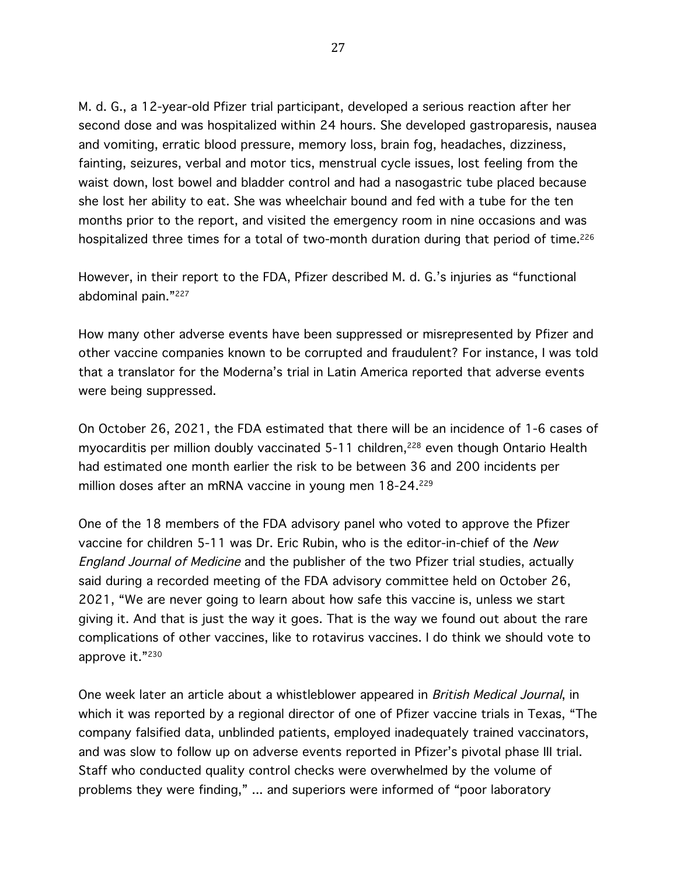M. d. G., a 12-year-old Pfizer trial participant, developed a serious reaction after her second dose and was hospitalized within 24 hours. She developed gastroparesis, nausea and vomiting, erratic blood pressure, memory loss, brain fog, headaches, dizziness, fainting, seizures, verbal and motor tics, menstrual cycle issues, lost feeling from the waist down, lost bowel and bladder control and had a nasogastric tube placed because she lost her ability to eat. She was wheelchair bound and fed with a tube for the ten months prior to the report, and visited the emergency room in nine occasions and was hospitalized three times for a total of two-month duration during that period of time.<sup>226</sup>

However, in their report to the FDA, Pfizer described M. d. G.'s injuries as "functional abdominal pain."227

How many other adverse events have been suppressed or misrepresented by Pfizer and other vaccine companies known to be corrupted and fraudulent? For instance, I was told that a translator for the Moderna's trial in Latin America reported that adverse events were being suppressed.

On October 26, 2021, the FDA estimated that there will be an incidence of 1-6 cases of myocarditis per million doubly vaccinated 5-11 children,<sup>228</sup> even though Ontario Health had estimated one month earlier the risk to be between 36 and 200 incidents per million doses after an mRNA vaccine in young men 18-24.<sup>229</sup>

One of the 18 members of the FDA advisory panel who voted to approve the Pfizer vaccine for children 5-11 was Dr. Eric Rubin, who is the editor-in-chief of the New England Journal of Medicine and the publisher of the two Pfizer trial studies, actually said during a recorded meeting of the FDA advisory committee held on October 26, 2021, "We are never going to learn about how safe this vaccine is, unless we start giving it. And that is just the way it goes. That is the way we found out about the rare complications of other vaccines, like to rotavirus vaccines. I do think we should vote to approve it."230

One week later an article about a whistleblower appeared in *British Medical Journal*, in which it was reported by a regional director of one of Pfizer vaccine trials in Texas, "The company falsified data, unblinded patients, employed inadequately trained vaccinators, and was slow to follow up on adverse events reported in Pfizer's pivotal phase III trial. Staff who conducted quality control checks were overwhelmed by the volume of problems they were finding," ... and superiors were informed of "poor laboratory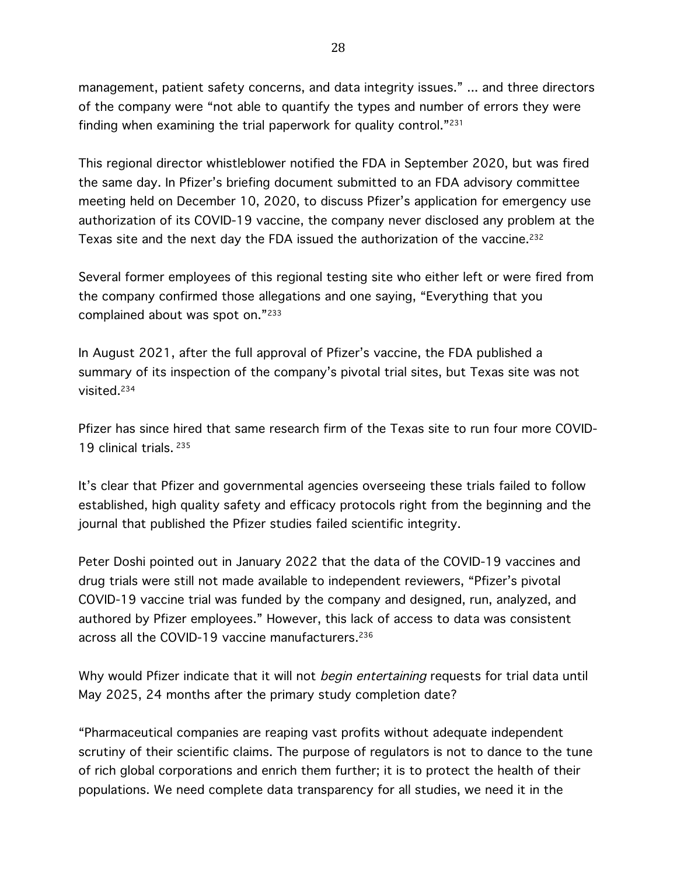management, patient safety concerns, and data integrity issues." ... and three directors of the company were "not able to quantify the types and number of errors they were finding when examining the trial paperwork for quality control."231

This regional director whistleblower notified the FDA in September 2020, but was fired the same day. In Pfizer's briefing document submitted to an FDA advisory committee meeting held on December 10, 2020, to discuss Pfizer's application for emergency use authorization of its COVID-19 vaccine, the company never disclosed any problem at the Texas site and the next day the FDA issued the authorization of the vaccine.<sup>232</sup>

Several former employees of this regional testing site who either left or were fired from the company confirmed those allegations and one saying, "Everything that you complained about was spot on."233

In August 2021, after the full approval of Pfizer's vaccine, the FDA published a summary of its inspection of the company's pivotal trial sites, but Texas site was not visited.234

Pfizer has since hired that same research firm of the Texas site to run four more COVID-19 clinical trials. 235

It's clear that Pfizer and governmental agencies overseeing these trials failed to follow established, high quality safety and efficacy protocols right from the beginning and the journal that published the Pfizer studies failed scientific integrity.

Peter Doshi pointed out in January 2022 that the data of the COVID-19 vaccines and drug trials were still not made available to independent reviewers, "Pfizer's pivotal COVID-19 vaccine trial was funded by the company and designed, run, analyzed, and authored by Pfizer employees." However, this lack of access to data was consistent across all the COVID-19 vaccine manufacturers.<sup>236</sup>

Why would Pfizer indicate that it will not begin entertaining requests for trial data until May 2025, 24 months after the primary study completion date?

"Pharmaceutical companies are reaping vast profits without adequate independent scrutiny of their scientific claims. The purpose of regulators is not to dance to the tune of rich global corporations and enrich them further; it is to protect the health of their populations. We need complete data transparency for all studies, we need it in the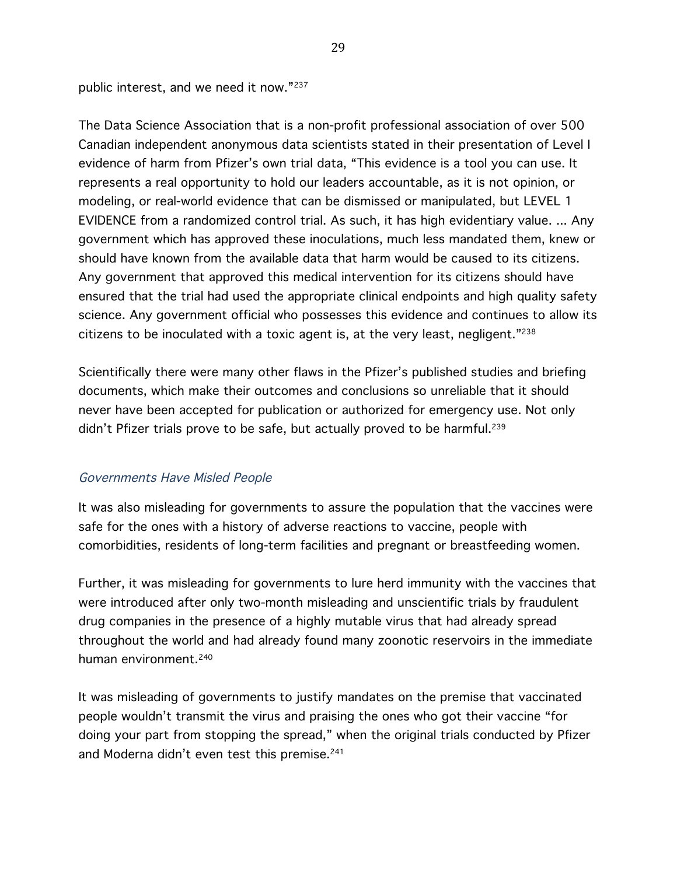public interest, and we need it now."237

The Data Science Association that is a non-profit professional association of over 500 Canadian independent anonymous data scientists stated in their presentation of Level I evidence of harm from Pfizer's own trial data, "This evidence is a tool you can use. It represents a real opportunity to hold our leaders accountable, as it is not opinion, or modeling, or real-world evidence that can be dismissed or manipulated, but LEVEL 1 EVIDENCE from a randomized control trial. As such, it has high evidentiary value. ... Any government which has approved these inoculations, much less mandated them, knew or should have known from the available data that harm would be caused to its citizens. Any government that approved this medical intervention for its citizens should have ensured that the trial had used the appropriate clinical endpoints and high quality safety science. Any government official who possesses this evidence and continues to allow its citizens to be inoculated with a toxic agent is, at the very least, negligent."238

Scientifically there were many other flaws in the Pfizer's published studies and briefing documents, which make their outcomes and conclusions so unreliable that it should never have been accepted for publication or authorized for emergency use. Not only didn't Pfizer trials prove to be safe, but actually proved to be harmful.<sup>239</sup>

#### Governments Have Misled People

It was also misleading for governments to assure the population that the vaccines were safe for the ones with a history of adverse reactions to vaccine, people with comorbidities, residents of long-term facilities and pregnant or breastfeeding women.

Further, it was misleading for governments to lure herd immunity with the vaccines that were introduced after only two-month misleading and unscientific trials by fraudulent drug companies in the presence of a highly mutable virus that had already spread throughout the world and had already found many zoonotic reservoirs in the immediate human environment.<sup>240</sup>

It was misleading of governments to justify mandates on the premise that vaccinated people wouldn't transmit the virus and praising the ones who got their vaccine "for doing your part from stopping the spread," when the original trials conducted by Pfizer and Moderna didn't even test this premise.<sup>241</sup>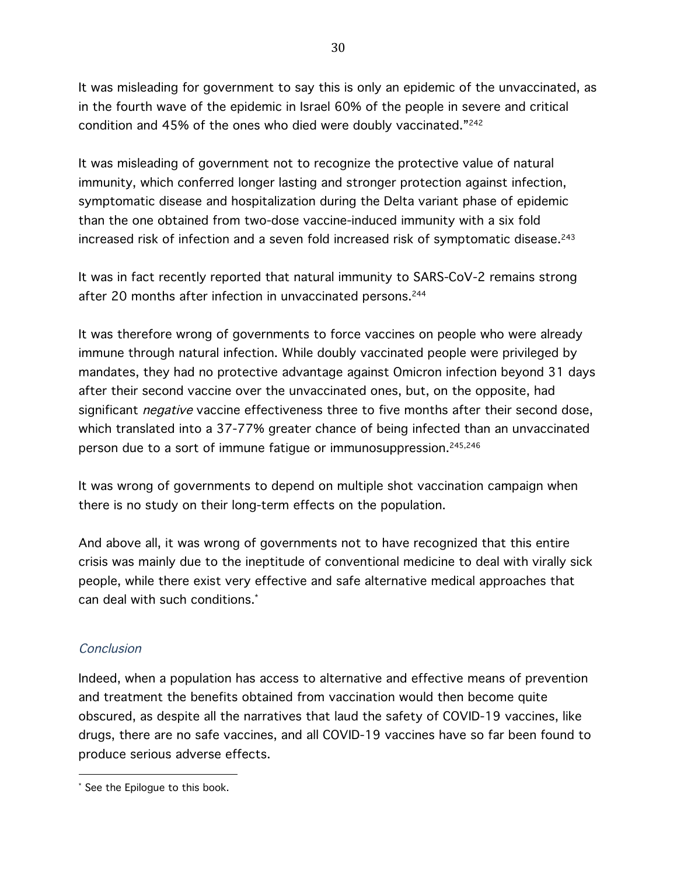It was misleading for government to say this is only an epidemic of the unvaccinated, as in the fourth wave of the epidemic in Israel 60% of the people in severe and critical condition and 45% of the ones who died were doubly vaccinated."242

It was misleading of government not to recognize the protective value of natural immunity, which conferred longer lasting and stronger protection against infection, symptomatic disease and hospitalization during the Delta variant phase of epidemic than the one obtained from two-dose vaccine-induced immunity with a six fold increased risk of infection and a seven fold increased risk of symptomatic disease.<sup>243</sup>

It was in fact recently reported that natural immunity to SARS-CoV-2 remains strong after 20 months after infection in unvaccinated persons.<sup>244</sup>

It was therefore wrong of governments to force vaccines on people who were already immune through natural infection. While doubly vaccinated people were privileged by mandates, they had no protective advantage against Omicron infection beyond 31 days after their second vaccine over the unvaccinated ones, but, on the opposite, had significant *negative* vaccine effectiveness three to five months after their second dose, which translated into a 37-77% greater chance of being infected than an unvaccinated person due to a sort of immune fatigue or immunosuppression.<sup>245,246</sup>

It was wrong of governments to depend on multiple shot vaccination campaign when there is no study on their long-term effects on the population.

And above all, it was wrong of governments not to have recognized that this entire crisis was mainly due to the ineptitude of conventional medicine to deal with virally sick people, while there exist very effective and safe alternative medical approaches that can deal with such conditions.\*

#### **Conclusion**

Indeed, when a population has access to alternative and effective means of prevention and treatment the benefits obtained from vaccination would then become quite obscured, as despite all the narratives that laud the safety of COVID-19 vaccines, like drugs, there are no safe vaccines, and all COVID-19 vaccines have so far been found to produce serious adverse effects.

 See the Epilogue to this book.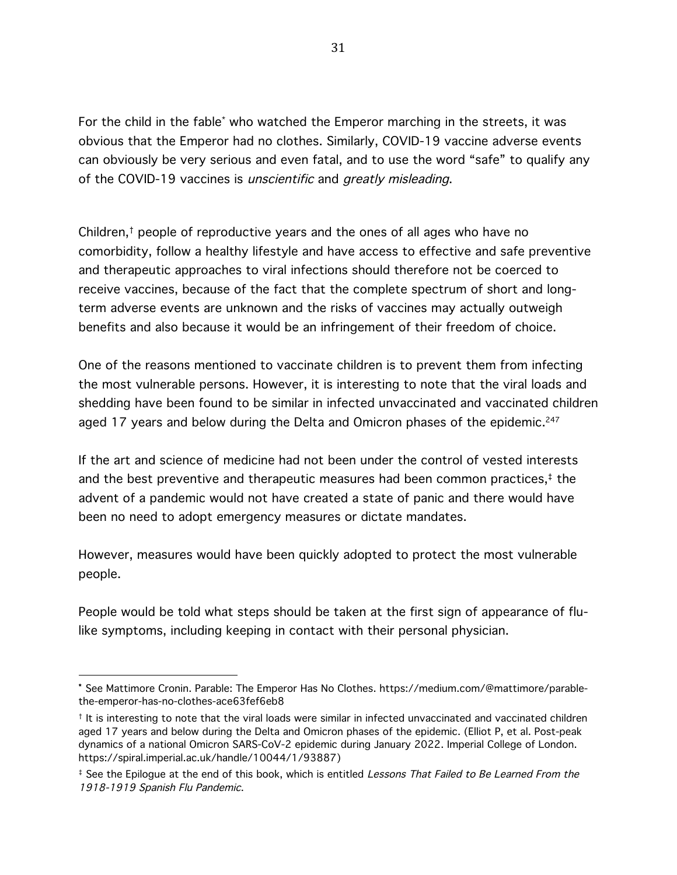For the child in the fable\* who watched the Emperor marching in the streets, it was obvious that the Emperor had no clothes. Similarly, COVID-19 vaccine adverse events can obviously be very serious and even fatal, and to use the word "safe" to qualify any of the COVID-19 vaccines is unscientific and greatly misleading.

Children,† people of reproductive years and the ones of all ages who have no comorbidity, follow a healthy lifestyle and have access to effective and safe preventive and therapeutic approaches to viral infections should therefore not be coerced to receive vaccines, because of the fact that the complete spectrum of short and longterm adverse events are unknown and the risks of vaccines may actually outweigh benefits and also because it would be an infringement of their freedom of choice.

One of the reasons mentioned to vaccinate children is to prevent them from infecting the most vulnerable persons. However, it is interesting to note that the viral loads and shedding have been found to be similar in infected unvaccinated and vaccinated children aged 17 years and below during the Delta and Omicron phases of the epidemic.<sup>247</sup>

If the art and science of medicine had not been under the control of vested interests and the best preventive and therapeutic measures had been common practices, $<sup>‡</sup>$  the</sup> advent of a pandemic would not have created a state of panic and there would have been no need to adopt emergency measures or dictate mandates.

However, measures would have been quickly adopted to protect the most vulnerable people.

People would be told what steps should be taken at the first sign of appearance of flulike symptoms, including keeping in contact with their personal physician.

<sup>\*</sup> See Mattimore Cronin. Parable: The Emperor Has No Clothes. https://medium.com/@mattimore/parablethe-emperor-has-no-clothes-ace63fef6eb8

<sup>†</sup> It is interesting to note that the viral loads were similar in infected unvaccinated and vaccinated children aged 17 years and below during the Delta and Omicron phases of the epidemic. (Elliot P, et al. Post-peak dynamics of a national Omicron SARS-CoV-2 epidemic during January 2022. Imperial College of London. https://spiral.imperial.ac.uk/handle/10044/1/93887)

<sup>&</sup>lt;sup>‡</sup> See the Epilogue at the end of this book, which is entitled Lessons That Failed to Be Learned From the 1918-1919 Spanish Flu Pandemic.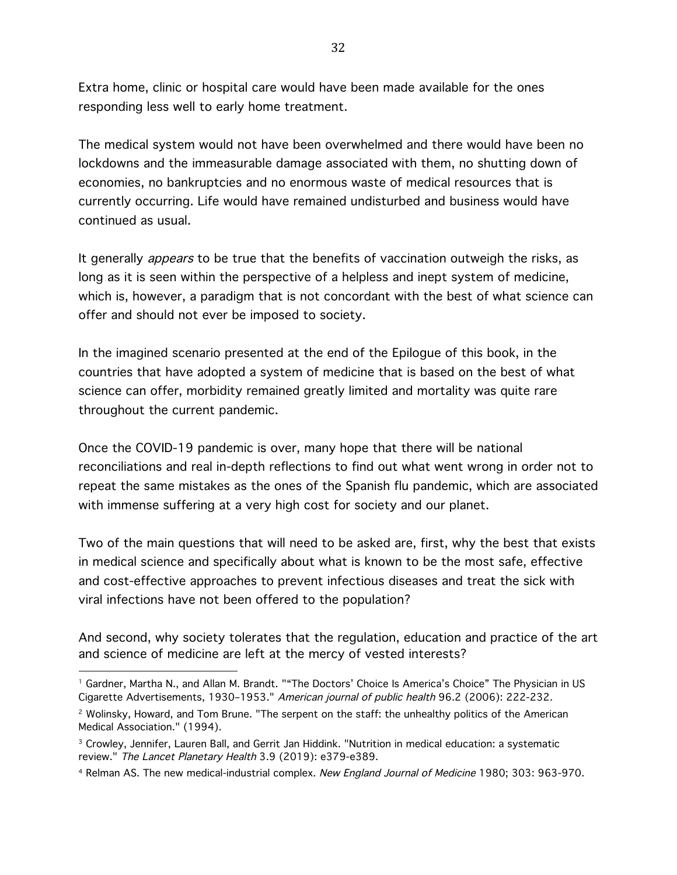Extra home, clinic or hospital care would have been made available for the ones responding less well to early home treatment.

The medical system would not have been overwhelmed and there would have been no lockdowns and the immeasurable damage associated with them, no shutting down of economies, no bankruptcies and no enormous waste of medical resources that is currently occurring. Life would have remained undisturbed and business would have continued as usual.

It generally *appears* to be true that the benefits of vaccination outweigh the risks, as long as it is seen within the perspective of a helpless and inept system of medicine, which is, however, a paradigm that is not concordant with the best of what science can offer and should not ever be imposed to society.

In the imagined scenario presented at the end of the Epilogue of this book, in the countries that have adopted a system of medicine that is based on the best of what science can offer, morbidity remained greatly limited and mortality was quite rare throughout the current pandemic.

Once the COVID-19 pandemic is over, many hope that there will be national reconciliations and real in-depth reflections to find out what went wrong in order not to repeat the same mistakes as the ones of the Spanish flu pandemic, which are associated with immense suffering at a very high cost for society and our planet.

Two of the main questions that will need to be asked are, first, why the best that exists in medical science and specifically about what is known to be the most safe, effective and cost-effective approaches to prevent infectious diseases and treat the sick with viral infections have not been offered to the population?

And second, why society tolerates that the regulation, education and practice of the art and science of medicine are left at the mercy of vested interests?

<sup>1</sup> Gardner, Martha N., and Allan M. Brandt. ""The Doctors' Choice Is America's Choice" The Physician in US Cigarette Advertisements, 1930–1953." American journal of public health 96.2 (2006): 222-232.

<sup>&</sup>lt;sup>2</sup> Wolinsky, Howard, and Tom Brune. "The serpent on the staff: the unhealthy politics of the American Medical Association." (1994).

<sup>3</sup> Crowley, Jennifer, Lauren Ball, and Gerrit Jan Hiddink. "Nutrition in medical education: a systematic review." The Lancet Planetary Health 3.9 (2019): e379-e389.

<sup>4</sup> Relman AS. The new medical-industrial complex. New England Journal of Medicine 1980; 303: 963-970.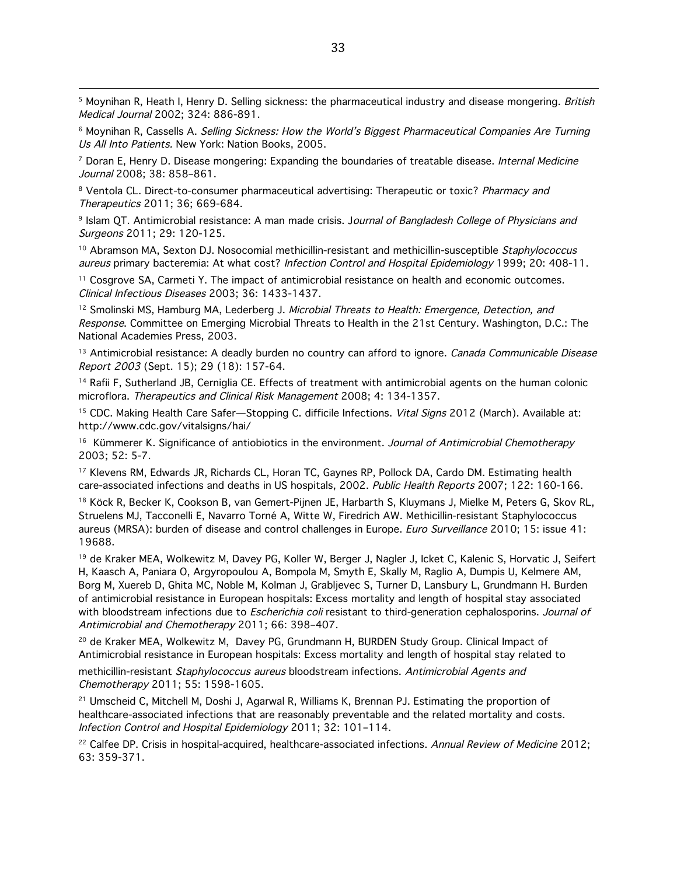<u> 1989 - Andrea Santa Andrea Andrea Andrea Andrea Andrea Andrea Andrea Andrea Andrea Andrea Andrea Andrea Andr</u> <sup>5</sup> Moynihan R, Heath I, Henry D. Selling sickness: the pharmaceutical industry and disease mongering. British Medical Journal 2002; 324: 886-891.

<sup>6</sup> Moynihan R, Cassells A. Selling Sickness: How the World's Biggest Pharmaceutical Companies Are Turning Us All Into Patients. New York: Nation Books, 2005.

<sup>7</sup> Doran E, Henry D. Disease mongering: Expanding the boundaries of treatable disease. Internal Medicine Journal 2008; 38: 858–861.

<sup>8</sup> Ventola CL. Direct-to-consumer pharmaceutical advertising: Therapeutic or toxic? Pharmacy and Therapeutics 2011; 36; 669-684.

<sup>9</sup> Islam QT. Antimicrobial resistance: A man made crisis. Journal of Bangladesh College of Physicians and Surgeons 2011; 29: 120-125.

<sup>10</sup> Abramson MA, Sexton DJ. Nosocomial methicillin-resistant and methicillin-susceptible Staphylococcus aureus primary bacteremia: At what cost? Infection Control and Hospital Epidemiology 1999; 20: 408-11.

<sup>11</sup> Cosgrove SA, Carmeti Y. The impact of antimicrobial resistance on health and economic outcomes. Clinical Infectious Diseases 2003; 36: 1433-1437.

<sup>12</sup> Smolinski MS, Hamburg MA, Lederberg J. Microbial Threats to Health: Emergence, Detection, and Response. Committee on Emerging Microbial Threats to Health in the 21st Century. Washington, D.C.: The National Academies Press, 2003.

<sup>13</sup> Antimicrobial resistance: A deadly burden no country can afford to ignore. Canada Communicable Disease Report 2003 (Sept. 15); 29 (18): 157-64.

<sup>14</sup> Rafii F, Sutherland JB, Cerniglia CE. Effects of treatment with antimicrobial agents on the human colonic microflora. Therapeutics and Clinical Risk Management 2008; 4: 134-1357.

<sup>15</sup> CDC. Making Health Care Safer—Stopping C. difficile Infections. Vital Signs 2012 (March). Available at: http://www.cdc.gov/vitalsigns/hai/

<sup>16</sup> Kümmerer K. Significance of antiobiotics in the environment. Journal of Antimicrobial Chemotherapy 2003; 52: 5-7.

<sup>17</sup> Klevens RM, Edwards JR, Richards CL, Horan TC, Gaynes RP, Pollock DA, Cardo DM. Estimating health care-associated infections and deaths in US hospitals, 2002. Public Health Reports 2007; 122: 160-166.

<sup>18</sup> Köck R, Becker K, Cookson B, van Gemert-Pijnen JE, Harbarth S, Kluymans J, Mielke M, Peters G, Skov RL, Struelens MJ, Tacconelli E, Navarro Torné A, Witte W, Firedrich AW. Methicillin-resistant Staphylococcus aureus (MRSA): burden of disease and control challenges in Europe. *Euro Surveillance* 2010; 15: issue 41: 19688.

<sup>19</sup> de Kraker MEA, Wolkewitz M, Davey PG, Koller W, Berger J, Nagler J, Icket C, Kalenic S, Horvatic J, Seifert H, Kaasch A, Paniara O, Argyropoulou A, Bompola M, Smyth E, Skally M, Raglio A, Dumpis U, Kelmere AM, Borg M, Xuereb D, Ghita MC, Noble M, Kolman J, Grabljevec S, Turner D, Lansbury L, Grundmann H. Burden of antimicrobial resistance in European hospitals: Excess mortality and length of hospital stay associated with bloodstream infections due to *Escherichia coli* resistant to third-generation cephalosporins. Journal of Antimicrobial and Chemotherapy 2011; 66: 398–407.

<sup>20</sup> de Kraker MEA, Wolkewitz M, Davey PG, Grundmann H, BURDEN Study Group. Clinical Impact of Antimicrobial resistance in European hospitals: Excess mortality and length of hospital stay related to

methicillin-resistant Staphylococcus aureus bloodstream infections. Antimicrobial Agents and Chemotherapy 2011; 55: 1598-1605.

<sup>21</sup> Umscheid C, Mitchell M, Doshi J, Agarwal R, Williams K, Brennan PJ. Estimating the proportion of healthcare-associated infections that are reasonably preventable and the related mortality and costs. Infection Control and Hospital Epidemiology 2011; 32: 101–114.

<sup>22</sup> Calfee DP. Crisis in hospital-acquired, healthcare-associated infections. Annual Review of Medicine 2012; 63: 359-371.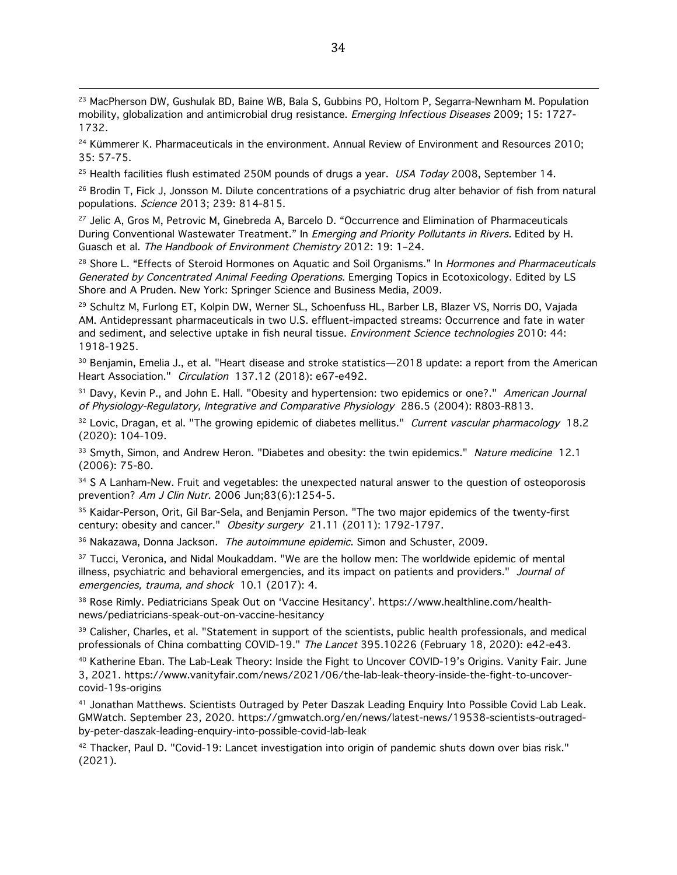<sup>23</sup> MacPherson DW, Gushulak BD, Baine WB, Bala S, Gubbins PO, Holtom P, Segarra-Newnham M. Population mobility, globalization and antimicrobial drug resistance. Emerging Infectious Diseases 2009; 15: 1727-1732.

<sup>24</sup> Kümmerer K. Pharmaceuticals in the environment. Annual Review of Environment and Resources 2010; 35: 57-75.

 $25$  Health facilities flush estimated 250M pounds of drugs a year. USA Today 2008, September 14.

<sup>26</sup> Brodin T, Fick J, Jonsson M. Dilute concentrations of a psychiatric drug alter behavior of fish from natural populations. Science 2013; 239: 814-815.

<sup>27</sup> Jelic A, Gros M, Petrovic M, Ginebreda A, Barcelo D. "Occurrence and Elimination of Pharmaceuticals During Conventional Wastewater Treatment." In Emerging and Priority Pollutants in Rivers. Edited by H. Guasch et al. The Handbook of Environment Chemistry 2012: 19: 1–24.

<sup>28</sup> Shore L. "Effects of Steroid Hormones on Aquatic and Soil Organisms." In Hormones and Pharmaceuticals Generated by Concentrated Animal Feeding Operations. Emerging Topics in Ecotoxicology. Edited by LS Shore and A Pruden. New York: Springer Science and Business Media, 2009.

<sup>29</sup> Schultz M, Furlong ET, Kolpin DW, Werner SL, Schoenfuss HL, Barber LB, Blazer VS, Norris DO, Vajada AM. Antidepressant pharmaceuticals in two U.S. effluent-impacted streams: Occurrence and fate in water and sediment, and selective uptake in fish neural tissue. Environment Science technologies 2010: 44: 1918-1925.

<sup>30</sup> Benjamin, Emelia J., et al. "Heart disease and stroke statistics—2018 update: a report from the American Heart Association." Circulation 137.12 (2018): e67-e492.

<sup>31</sup> Davy, Kevin P., and John E. Hall. "Obesity and hypertension: two epidemics or one?." American Journal of Physiology-Regulatory, Integrative and Comparative Physiology 286.5 (2004): R803-R813.

<sup>32</sup> Lovic, Dragan, et al. "The growing epidemic of diabetes mellitus." Current vascular pharmacology 18.2 (2020): 104-109.

<sup>33</sup> Smyth, Simon, and Andrew Heron. "Diabetes and obesity: the twin epidemics." Nature medicine 12.1 (2006): 75-80.

<sup>34</sup> S A Lanham-New. Fruit and vegetables: the unexpected natural answer to the question of osteoporosis prevention? Am J Clin Nutr. 2006 Jun;83(6):1254-5.

<sup>35</sup> Kaidar-Person, Orit, Gil Bar-Sela, and Benjamin Person. "The two major epidemics of the twenty-first century: obesity and cancer." Obesity surgery 21.11 (2011): 1792-1797.

<sup>36</sup> Nakazawa, Donna Jackson. The autoimmune epidemic. Simon and Schuster, 2009.

<sup>37</sup> Tucci, Veronica, and Nidal Moukaddam. "We are the hollow men: The worldwide epidemic of mental illness, psychiatric and behavioral emergencies, and its impact on patients and providers." Journal of emergencies, trauma, and shock 10.1 (2017): 4.

<sup>38</sup> Rose Rimly. Pediatricians Speak Out on 'Vaccine Hesitancy'. https://www.healthline.com/healthnews/pediatricians-speak-out-on-vaccine-hesitancy

<sup>39</sup> Calisher, Charles, et al. "Statement in support of the scientists, public health professionals, and medical professionals of China combatting COVID-19." The Lancet 395.10226 (February 18, 2020): e42-e43.

<sup>40</sup> Katherine Eban. The Lab-Leak Theory: Inside the Fight to Uncover COVID-19's Origins. Vanity Fair. June 3, 2021. https://www.vanityfair.com/news/2021/06/the-lab-leak-theory-inside-the-fight-to-uncovercovid-19s-origins

<sup>41</sup> Jonathan Matthews. Scientists Outraged by Peter Daszak Leading Enquiry Into Possible Covid Lab Leak. GMWatch. September 23, 2020. https://gmwatch.org/en/news/latest-news/19538-scientists-outragedby-peter-daszak-leading-enquiry-into-possible-covid-lab-leak

42 Thacker, Paul D. "Covid-19: Lancet investigation into origin of pandemic shuts down over bias risk." (2021).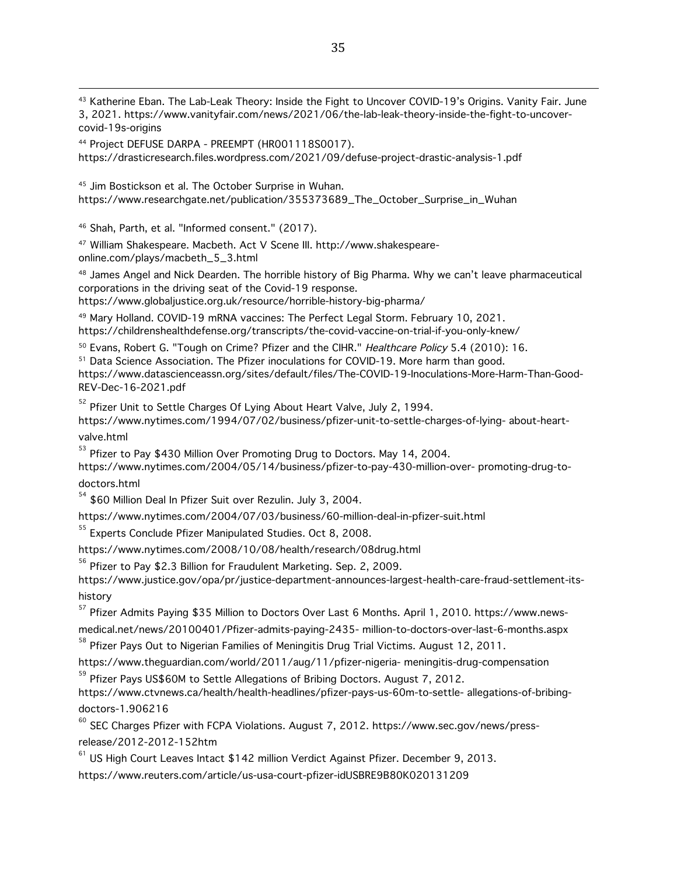43 Katherine Eban. The Lab-Leak Theory: Inside the Fight to Uncover COVID-19's Origins. Vanity Fair. June 3, 2021. https://www.vanityfair.com/news/2021/06/the-lab-leak-theory-inside-the-fight-to-uncovercovid-19s-origins

<sup>44</sup> Project DEFUSE DARPA - PREEMPT (HR001118S0017). https://drasticresearch.files.wordpress.com/2021/09/defuse-project-drastic-analysis-1.pdf

<sup>45</sup> Jim Bostickson et al. The October Surprise in Wuhan. https://www.researchgate.net/publication/355373689\_The\_October\_Surprise\_in\_Wuhan

<sup>46</sup> Shah, Parth, et al. "Informed consent." (2017).

<sup>47</sup> William Shakespeare. Macbeth. Act V Scene III. http://www.shakespeareonline.com/plays/macbeth\_5\_3.html

48 James Angel and Nick Dearden. The horrible history of Big Pharma. Why we can't leave pharmaceutical corporations in the driving seat of the Covid-19 response.

https://www.globaljustice.org.uk/resource/horrible-history-big-pharma/

<sup>49</sup> Mary Holland. COVID-19 mRNA vaccines: The Perfect Legal Storm. February 10, 2021.

https://childrenshealthdefense.org/transcripts/the-covid-vaccine-on-trial-if-you-only-knew/

<sup>50</sup> Evans, Robert G. "Tough on Crime? Pfizer and the CIHR." Healthcare Policy 5.4 (2010): 16.

<sup>51</sup> Data Science Association. The Pfizer inoculations for COVID-19. More harm than good.

https://www.datascienceassn.org/sites/default/files/The-COVID-19-Inoculations-More-Harm-Than-Good-REV-Dec-16-2021.pdf

<sup>52</sup> Pfizer Unit to Settle Charges Of Lying About Heart Valve, July 2, 1994.

https://www.nytimes.com/1994/07/02/business/pfizer-unit-to-settle-charges-of-lying- about-heartvalve.html

<sup>53</sup> Pfizer to Pay \$430 Million Over Promoting Drug to Doctors. May 14, 2004.

https://www.nytimes.com/2004/05/14/business/pfizer-to-pay-430-million-over- promoting-drug-todoctors.html

<sup>54</sup> \$60 Million Deal In Pfizer Suit over Rezulin. July 3, 2004.

https://www.nytimes.com/2004/07/03/business/60-million-deal-in-pfizer-suit.html

<sup>55</sup> Experts Conclude Pfizer Manipulated Studies. Oct 8, 2008.

https://www.nytimes.com/2008/10/08/health/research/08drug.html

<sup>56</sup> Pfizer to Pay \$2.3 Billion for Fraudulent Marketing. Sep. 2, 2009.

https://www.justice.gov/opa/pr/justice-department-announces-largest-health-care-fraud-settlement-itshistory

<sup>57</sup> Pfizer Admits Paying \$35 Million to Doctors Over Last 6 Months. April 1, 2010. https://www.newsmedical.net/news/20100401/Pfizer-admits-paying-2435- million-to-doctors-over-last-6-months.aspx 58<br>58 Pfizer Pays Out to Nigerian Families of Meningitis Drug Trial Victims. August 12, 2011.

https://www.theguardian.com/world/2011/aug/11/pfizer-nigeria- meningitis-drug-compensation 59 Pfizer Pays US\$60M to Settle Allegations of Bribing Doctors. August 7, 2012.

https://www.ctvnews.ca/health/health-headlines/pfizer-pays-us-60m-to-settle- allegations-of-bribing-

doctors-1.906216<br><sup>60</sup> SEC Charges Pfizer with FCPA Violations. August 7, 2012. https://www.sec.gov/news/pressrelease/2012-2012-152htm

 $61$  US High Court Leaves Intact \$142 million Verdict Against Pfizer. December 9, 2013.

https://www.reuters.com/article/us-usa-court-pfizer-idUSBRE9B80K020131209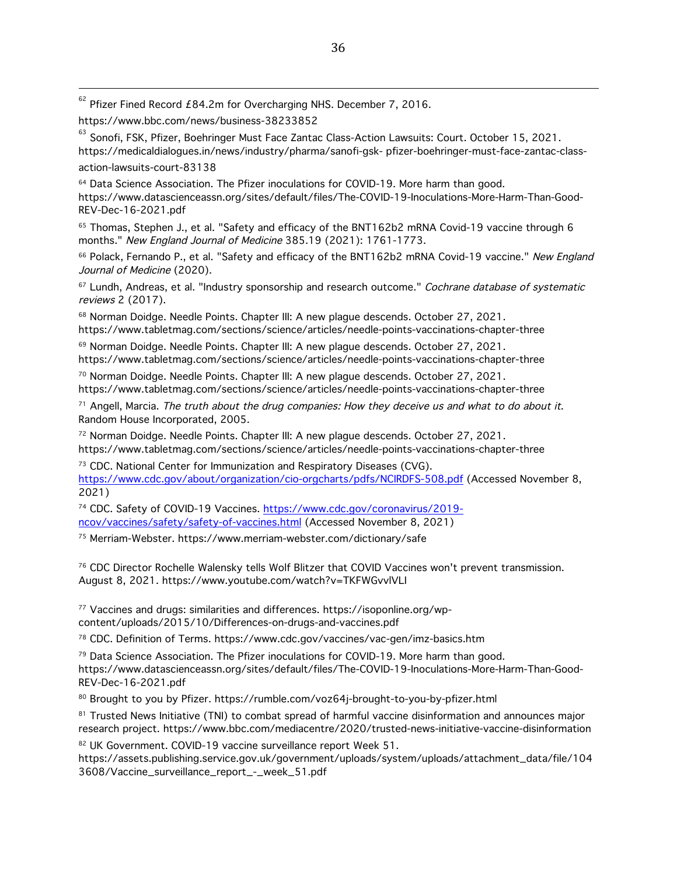$62$  Pfizer Fined Record £84.2m for Overcharging NHS. December 7, 2016.

https://www.bbc.com/news/business-38233852<br><sup>63</sup> Sonofi, FSK, Pfizer, Boehringer Must Face Zantac Class-Action Lawsuits: Court. October 15, 2021. https://medicaldialogues.in/news/industry/pharma/sanofi-gsk- pfizer-boehringer-must-face-zantac-classaction-lawsuits-court-83138

 $64$  Data Science Association. The Pfizer inoculations for COVID-19. More harm than good. https://www.datascienceassn.org/sites/default/files/The-COVID-19-Inoculations-More-Harm-Than-Good-REV-Dec-16-2021.pdf

<sup>65</sup> Thomas, Stephen J., et al. "Safety and efficacy of the BNT162b2 mRNA Covid-19 vaccine through 6 months." New England Journal of Medicine 385.19 (2021): 1761-1773.

66 Polack, Fernando P., et al. "Safety and efficacy of the BNT162b2 mRNA Covid-19 vaccine." New England Journal of Medicine (2020).

<sup>67</sup> Lundh, Andreas, et al. "Industry sponsorship and research outcome." Cochrane database of systematic reviews 2 (2017).

<sup>68</sup> Norman Doidge. Needle Points. Chapter III: A new plague descends. October 27, 2021. https://www.tabletmag.com/sections/science/articles/needle-points-vaccinations-chapter-three

<sup>69</sup> Norman Doidge. Needle Points. Chapter III: A new plague descends. October 27, 2021. https://www.tabletmag.com/sections/science/articles/needle-points-vaccinations-chapter-three

<sup>70</sup> Norman Doidge. Needle Points. Chapter III: A new plague descends. October 27, 2021. https://www.tabletmag.com/sections/science/articles/needle-points-vaccinations-chapter-three

 $71$  Angell, Marcia. The truth about the drug companies: How they deceive us and what to do about it. Random House Incorporated, 2005.

 $72$  Norman Doidge. Needle Points. Chapter III: A new plague descends. October 27, 2021. https://www.tabletmag.com/sections/science/articles/needle-points-vaccinations-chapter-three

<sup>73</sup> CDC. National Center for Immunization and Respiratory Diseases (CVG). https://www.cdc.gov/about/organization/cio-orgcharts/pdfs/NCIRDFS-508.pdf (Accessed November 8, 2021)

<sup>74</sup> CDC. Safety of COVID-19 Vaccines. https://www.cdc.gov/coronavirus/2019ncov/vaccines/safety/safety-of-vaccines.html (Accessed November 8, 2021)

<sup>75</sup> Merriam-Webster. https://www.merriam-webster.com/dictionary/safe

<sup>76</sup> CDC Director Rochelle Walensky tells Wolf Blitzer that COVID Vaccines won't prevent transmission. August 8, 2021. https://www.youtube.com/watch?v=TKFWGvvlVLI

<sup>77</sup> Vaccines and drugs: similarities and differences. https://isoponline.org/wpcontent/uploads/2015/10/Differences-on-drugs-and-vaccines.pdf

<sup>78</sup> CDC. Definition of Terms. https://www.cdc.gov/vaccines/vac-gen/imz-basics.htm

 $79$  Data Science Association. The Pfizer inoculations for COVID-19. More harm than good.

https://www.datascienceassn.org/sites/default/files/The-COVID-19-Inoculations-More-Harm-Than-Good-REV-Dec-16-2021.pdf

80 Brought to you by Pfizer. https://rumble.com/voz64j-brought-to-you-by-pfizer.html

81 Trusted News Initiative (TNI) to combat spread of harmful vaccine disinformation and announces major research project. https://www.bbc.com/mediacentre/2020/trusted-news-initiative-vaccine-disinformation

82 UK Government. COVID-19 vaccine surveillance report Week 51.

https://assets.publishing.service.gov.uk/government/uploads/system/uploads/attachment\_data/file/104 3608/Vaccine\_surveillance\_report\_-\_week\_51.pdf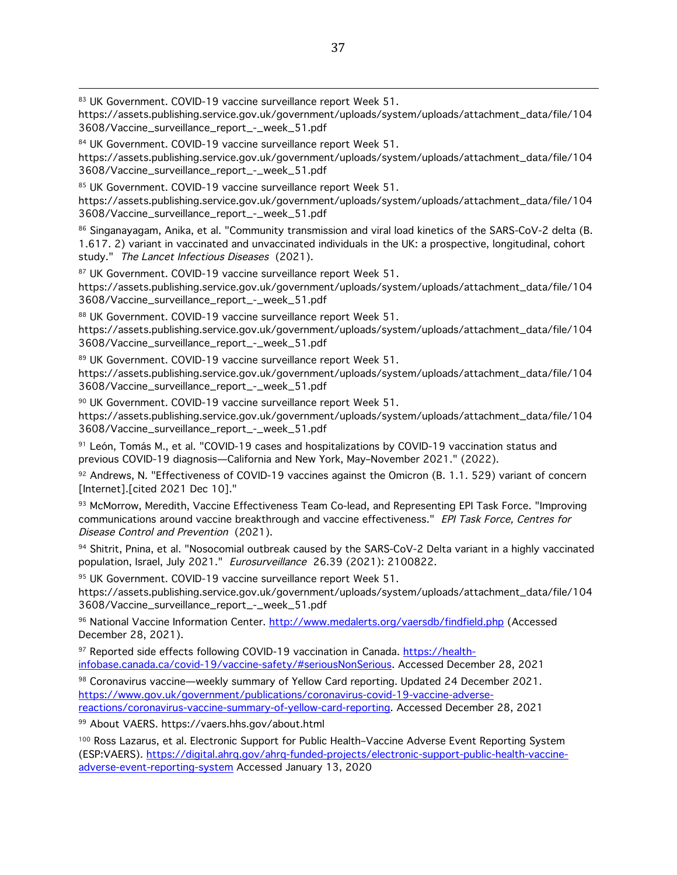83 UK Government. COVID-19 vaccine surveillance report Week 51.

https://assets.publishing.service.gov.uk/government/uploads/system/uploads/attachment\_data/file/104 3608/Vaccine\_surveillance\_report\_-\_week\_51.pdf

84 UK Government. COVID-19 vaccine surveillance report Week 51. https://assets.publishing.service.gov.uk/government/uploads/system/uploads/attachment\_data/file/104 3608/Vaccine\_surveillance\_report\_-\_week\_51.pdf

85 UK Government. COVID-19 vaccine surveillance report Week 51. https://assets.publishing.service.gov.uk/government/uploads/system/uploads/attachment\_data/file/104 3608/Vaccine\_surveillance\_report\_-\_week\_51.pdf

86 Singanayagam, Anika, et al. "Community transmission and viral load kinetics of the SARS-CoV-2 delta (B. 1.617. 2) variant in vaccinated and unvaccinated individuals in the UK: a prospective, longitudinal, cohort study." The Lancet Infectious Diseases (2021).

87 UK Government. COVID-19 vaccine surveillance report Week 51. https://assets.publishing.service.gov.uk/government/uploads/system/uploads/attachment\_data/file/104 3608/Vaccine\_surveillance\_report\_-\_week\_51.pdf

88 UK Government. COVID-19 vaccine surveillance report Week 51. https://assets.publishing.service.gov.uk/government/uploads/system/uploads/attachment\_data/file/104 3608/Vaccine\_surveillance\_report\_-\_week\_51.pdf

89 UK Government. COVID-19 vaccine surveillance report Week 51. https://assets.publishing.service.gov.uk/government/uploads/system/uploads/attachment\_data/file/104 3608/Vaccine\_surveillance\_report\_-\_week\_51.pdf

<sup>90</sup> UK Government. COVID-19 vaccine surveillance report Week 51. https://assets.publishing.service.gov.uk/government/uploads/system/uploads/attachment\_data/file/104 3608/Vaccine\_surveillance\_report\_-\_week\_51.pdf

<sup>91</sup> León, Tomás M., et al. "COVID-19 cases and hospitalizations by COVID-19 vaccination status and previous COVID-19 diagnosis—California and New York, May–November 2021." (2022).

92 Andrews, N. "Effectiveness of COVID-19 vaccines against the Omicron (B. 1.1. 529) variant of concern [Internet].[cited 2021 Dec 10]."

93 McMorrow, Meredith, Vaccine Effectiveness Team Co-lead, and Representing EPI Task Force. "Improving communications around vaccine breakthrough and vaccine effectiveness." EPI Task Force, Centres for Disease Control and Prevention (2021).

94 Shitrit, Pnina, et al. "Nosocomial outbreak caused by the SARS-CoV-2 Delta variant in a highly vaccinated population, Israel, July 2021." Eurosurveillance 26.39 (2021): 2100822.

95 UK Government. COVID-19 vaccine surveillance report Week 51.

https://assets.publishing.service.gov.uk/government/uploads/system/uploads/attachment\_data/file/104 3608/Vaccine\_surveillance\_report\_-\_week\_51.pdf

<sup>96</sup> National Vaccine Information Center. http://www.medalerts.org/vaersdb/findfield.php (Accessed December 28, 2021).

97 Reported side effects following COVID-19 vaccination in Canada. https://healthinfobase.canada.ca/covid-19/vaccine-safety/#seriousNonSerious. Accessed December 28, 2021

98 Coronavirus vaccine—weekly summary of Yellow Card reporting. Updated 24 December 2021. https://www.gov.uk/government/publications/coronavirus-covid-19-vaccine-adversereactions/coronavirus-vaccine-summary-of-yellow-card-reporting. Accessed December 28, 2021

<sup>99</sup> About VAERS. https://vaers.hhs.gov/about.html

<sup>100</sup> Ross Lazarus, et al. Electronic Support for Public Health-Vaccine Adverse Event Reporting System (ESP:VAERS). https://digital.ahrq.gov/ahrq-funded-projects/electronic-support-public-health-vaccineadverse-event-reporting-system Accessed January 13, 2020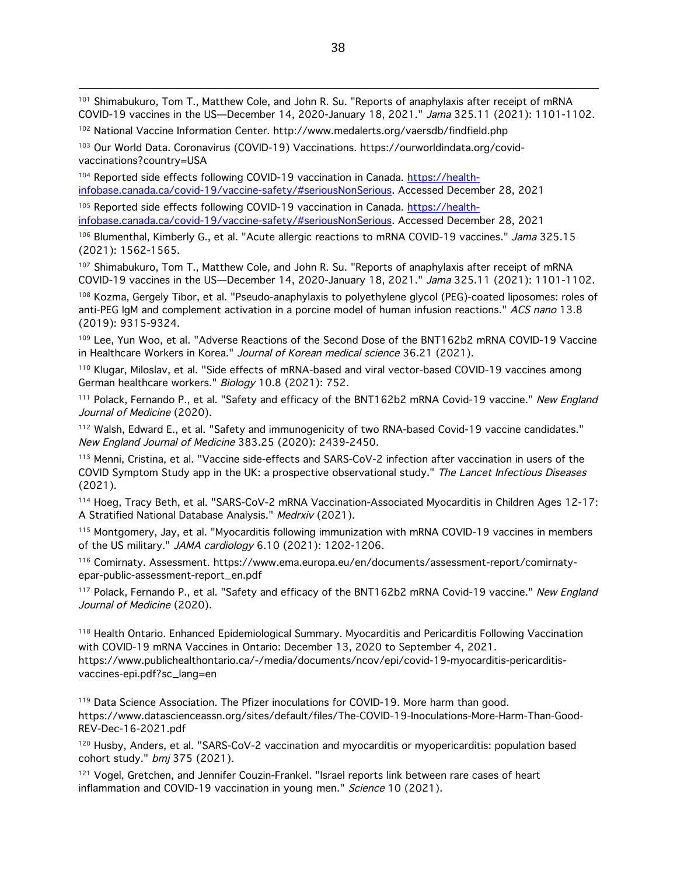<sup>101</sup> Shimabukuro, Tom T., Matthew Cole, and John R. Su. "Reports of anaphylaxis after receipt of mRNA COVID-19 vaccines in the US—December 14, 2020-January 18, 2021." Jama 325.11 (2021): 1101-1102.

<u> 1989 - Andrea Santa Andrea Andrea Andrea Andrea Andrea Andrea Andrea Andrea Andrea Andrea Andrea Andrea Andr</u>

<sup>102</sup> National Vaccine Information Center. http://www.medalerts.org/vaersdb/findfield.php

<sup>103</sup> Our World Data. Coronavirus (COVID-19) Vaccinations. https://ourworldindata.org/covidvaccinations?country=USA

104 Reported side effects following COVID-19 vaccination in Canada. https://healthinfobase.canada.ca/covid-19/vaccine-safety/#seriousNonSerious. Accessed December 28, 2021

<sup>105</sup> Reported side effects following COVID-19 vaccination in Canada. https://healthinfobase.canada.ca/covid-19/vaccine-safety/#seriousNonSerious. Accessed December 28, 2021

106 Blumenthal, Kimberly G., et al. "Acute allergic reactions to mRNA COVID-19 vaccines." Jama 325.15 (2021): 1562-1565.

<sup>107</sup> Shimabukuro, Tom T., Matthew Cole, and John R. Su. "Reports of anaphylaxis after receipt of mRNA COVID-19 vaccines in the US—December 14, 2020-January 18, 2021." Jama 325.11 (2021): 1101-1102.

108 Kozma, Gergely Tibor, et al. "Pseudo-anaphylaxis to polyethylene glycol (PEG)-coated liposomes: roles of anti-PEG IgM and complement activation in a porcine model of human infusion reactions." ACS nano 13.8 (2019): 9315-9324.

109 Lee, Yun Woo, et al. "Adverse Reactions of the Second Dose of the BNT162b2 mRNA COVID-19 Vaccine in Healthcare Workers in Korea." Journal of Korean medical science 36.21 (2021).

<sup>110</sup> Klugar, Miloslav, et al. "Side effects of mRNA-based and viral vector-based COVID-19 vaccines among German healthcare workers." Biology 10.8 (2021): 752.

<sup>111</sup> Polack, Fernando P., et al. "Safety and efficacy of the BNT162b2 mRNA Covid-19 vaccine." New England Journal of Medicine (2020).

<sup>112</sup> Walsh, Edward E., et al. "Safety and immunogenicity of two RNA-based Covid-19 vaccine candidates." New England Journal of Medicine 383.25 (2020): 2439-2450.

113 Menni, Cristina, et al. "Vaccine side-effects and SARS-CoV-2 infection after vaccination in users of the COVID Symptom Study app in the UK: a prospective observational study." The Lancet Infectious Diseases (2021).

<sup>114</sup> Hoeg, Tracy Beth, et al. "SARS-CoV-2 mRNA Vaccination-Associated Myocarditis in Children Ages 12-17: A Stratified National Database Analysis." Medrxiv (2021).

<sup>115</sup> Montgomery, Jay, et al. "Myocarditis following immunization with mRNA COVID-19 vaccines in members of the US military." JAMA cardiology 6.10 (2021): 1202-1206.

<sup>116</sup> Comirnaty. Assessment. https://www.ema.europa.eu/en/documents/assessment-report/comirnatyepar-public-assessment-report\_en.pdf

<sup>117</sup> Polack, Fernando P., et al. "Safety and efficacy of the BNT162b2 mRNA Covid-19 vaccine." New England Journal of Medicine (2020).

<sup>118</sup> Health Ontario. Enhanced Epidemiological Summary. Myocarditis and Pericarditis Following Vaccination with COVID-19 mRNA Vaccines in Ontario: December 13, 2020 to September 4, 2021. https://www.publichealthontario.ca/-/media/documents/ncov/epi/covid-19-myocarditis-pericarditisvaccines-epi.pdf?sc\_lang=en

<sup>119</sup> Data Science Association. The Pfizer inoculations for COVID-19. More harm than good. https://www.datascienceassn.org/sites/default/files/The-COVID-19-Inoculations-More-Harm-Than-Good-REV-Dec-16-2021.pdf

<sup>120</sup> Husby, Anders, et al. "SARS-CoV-2 vaccination and myocarditis or myopericarditis: population based cohort study." bmj 375 (2021).

<sup>121</sup> Vogel, Gretchen, and Jennifer Couzin-Frankel. "Israel reports link between rare cases of heart inflammation and COVID-19 vaccination in young men." Science 10 (2021).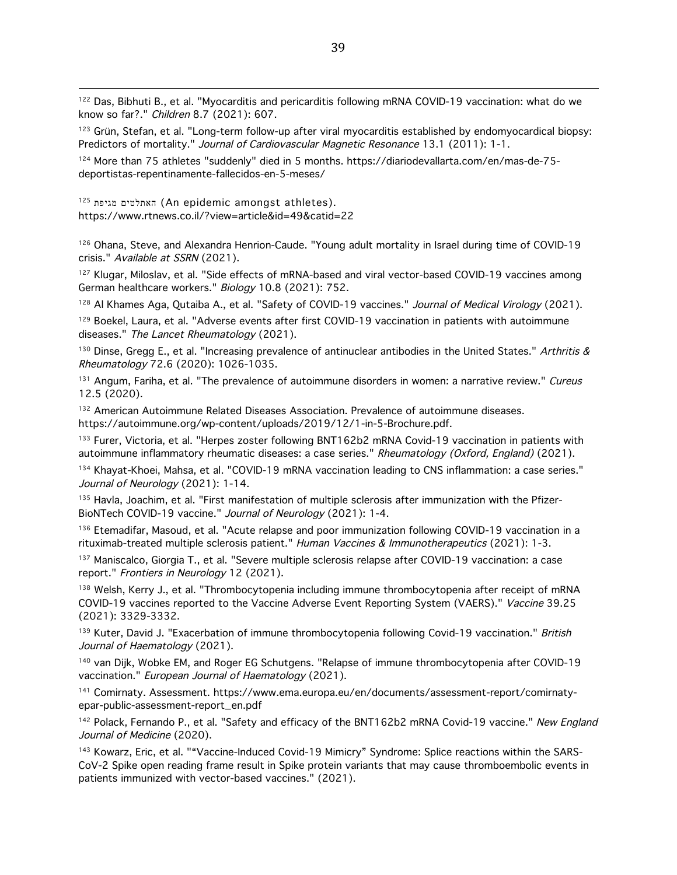<sup>122</sup> Das, Bibhuti B., et al. "Myocarditis and pericarditis following mRNA COVID-19 vaccination: what do we know so far?." Children 8.7 (2021): 607.

<sup>123</sup> Grün, Stefan, et al. "Long-term follow-up after viral myocarditis established by endomyocardical biopsy: Predictors of mortality." Journal of Cardiovascular Magnetic Resonance 13.1 (2011): 1-1.

124 More than 75 athletes "suddenly" died in 5 months. https://diariodevallarta.com/en/mas-de-75deportistas-repentinamente-fallecidos-en-5-meses/

125 האתלטים מגיפת (An epidemic amongst athletes). https://www.rtnews.co.il/?view=article&id=49&catid=22

<sup>126</sup> Ohana, Steve, and Alexandra Henrion-Caude. "Young adult mortality in Israel during time of COVID-19 crisis." Available at SSRN (2021).

<sup>127</sup> Klugar, Miloslav, et al. "Side effects of mRNA-based and viral vector-based COVID-19 vaccines among German healthcare workers." Biology 10.8 (2021): 752.

128 Al Khames Aga, Qutaiba A., et al. "Safety of COVID-19 vaccines." Journal of Medical Virology (2021).

<sup>129</sup> Boekel, Laura, et al. "Adverse events after first COVID-19 vaccination in patients with autoimmune diseases." The Lancet Rheumatology (2021).

130 Dinse, Gregg E., et al. "Increasing prevalence of antinuclear antibodies in the United States." Arthritis & Rheumatology 72.6 (2020): 1026-1035.

<sup>131</sup> Angum, Fariha, et al. "The prevalence of autoimmune disorders in women: a narrative review." Cureus 12.5 (2020).

<sup>132</sup> American Autoimmune Related Diseases Association. Prevalence of autoimmune diseases. https://autoimmune.org/wp-content/uploads/2019/12/1-in-5-Brochure.pdf.

<sup>133</sup> Furer, Victoria, et al. "Herpes zoster following BNT162b2 mRNA Covid-19 vaccination in patients with autoimmune inflammatory rheumatic diseases: a case series." Rheumatology (Oxford, England) (2021).

<sup>134</sup> Khayat-Khoei, Mahsa, et al. "COVID-19 mRNA vaccination leading to CNS inflammation: a case series." Journal of Neurology (2021): 1-14.

135 Havla, Joachim, et al. "First manifestation of multiple sclerosis after immunization with the Pfizer-BioNTech COVID-19 vaccine." Journal of Neurology (2021): 1-4.

<sup>136</sup> Etemadifar, Masoud, et al. "Acute relapse and poor immunization following COVID-19 vaccination in a rituximab-treated multiple sclerosis patient." Human Vaccines & Immunotherapeutics (2021): 1-3.

<sup>137</sup> Maniscalco, Giorgia T., et al. "Severe multiple sclerosis relapse after COVID-19 vaccination: a case report." Frontiers in Neurology 12 (2021).

138 Welsh, Kerry J., et al. "Thrombocytopenia including immune thrombocytopenia after receipt of mRNA COVID-19 vaccines reported to the Vaccine Adverse Event Reporting System (VAERS)." Vaccine 39.25 (2021): 3329-3332.

139 Kuter, David J. "Exacerbation of immune thrombocytopenia following Covid-19 vaccination." British Journal of Haematology (2021).

140 van Dijk, Wobke EM, and Roger EG Schutgens. "Relapse of immune thrombocytopenia after COVID-19 vaccination." European Journal of Haematology (2021).

<sup>141</sup> Comirnaty. Assessment. https://www.ema.europa.eu/en/documents/assessment-report/comirnatyepar-public-assessment-report\_en.pdf

<sup>142</sup> Polack, Fernando P., et al. "Safety and efficacy of the BNT162b2 mRNA Covid-19 vaccine." New England Journal of Medicine (2020).

143 Kowarz, Eric, et al. ""Vaccine-Induced Covid-19 Mimicry" Syndrome: Splice reactions within the SARS-CoV-2 Spike open reading frame result in Spike protein variants that may cause thromboembolic events in patients immunized with vector-based vaccines." (2021).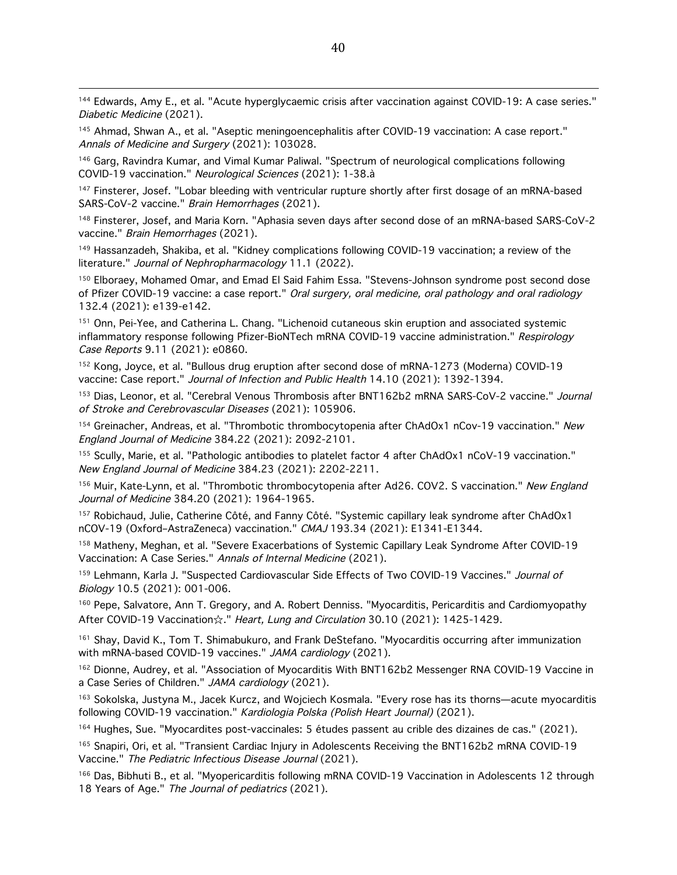<u> 1989 - Andrea Santa Andrea Andrea Andrea Andrea Andrea Andrea Andrea Andrea Andrea Andrea Andrea Andrea Andr</u> 144 Edwards, Amy E., et al. "Acute hyperglycaemic crisis after vaccination against COVID-19: A case series." Diabetic Medicine (2021).

145 Ahmad, Shwan A., et al. "Aseptic meningoencephalitis after COVID-19 vaccination: A case report." Annals of Medicine and Surgery (2021): 103028.

<sup>146</sup> Garg, Ravindra Kumar, and Vimal Kumar Paliwal. "Spectrum of neurological complications following COVID-19 vaccination." Neurological Sciences (2021): 1-38.à

<sup>147</sup> Finsterer, Josef. "Lobar bleeding with ventricular rupture shortly after first dosage of an mRNA-based SARS-CoV-2 vaccine." Brain Hemorrhages (2021).

<sup>148</sup> Finsterer, Josef, and Maria Korn. "Aphasia seven days after second dose of an mRNA-based SARS-CoV-2 vaccine." Brain Hemorrhages (2021).

<sup>149</sup> Hassanzadeh, Shakiba, et al. "Kidney complications following COVID-19 vaccination; a review of the literature." Journal of Nephropharmacology 11.1 (2022).

150 Elboraev, Mohamed Omar, and Emad El Said Fahim Essa. "Stevens-Johnson syndrome post second dose of Pfizer COVID-19 vaccine: a case report." Oral surgery, oral medicine, oral pathology and oral radiology 132.4 (2021): e139-e142.

151 Onn, Pei-Yee, and Catherina L. Chang. "Lichenoid cutaneous skin eruption and associated systemic inflammatory response following Pfizer-BioNTech mRNA COVID-19 vaccine administration." Respirology Case Reports 9.11 (2021): e0860.

<sup>152</sup> Kong, Joyce, et al. "Bullous drug eruption after second dose of mRNA-1273 (Moderna) COVID-19 vaccine: Case report." Journal of Infection and Public Health 14.10 (2021): 1392-1394.

<sup>153</sup> Dias, Leonor, et al. "Cerebral Venous Thrombosis after BNT162b2 mRNA SARS-CoV-2 vaccine." Journal of Stroke and Cerebrovascular Diseases (2021): 105906.

154 Greinacher, Andreas, et al. "Thrombotic thrombocytopenia after ChAdOx1 nCov-19 vaccination." New England Journal of Medicine 384.22 (2021): 2092-2101.

155 Scully, Marie, et al. "Pathologic antibodies to platelet factor 4 after ChAdOx1 nCoV-19 vaccination." New England Journal of Medicine 384.23 (2021): 2202-2211.

<sup>156</sup> Muir, Kate-Lynn, et al. "Thrombotic thrombocytopenia after Ad26. COV2. S vaccination." New England Journal of Medicine 384.20 (2021): 1964-1965.

<sup>157</sup> Robichaud, Julie, Catherine Côté, and Fanny Côté. "Systemic capillary leak syndrome after ChAdOx1 nCOV-19 (Oxford–AstraZeneca) vaccination." CMAJ 193.34 (2021): E1341-E1344.

<sup>158</sup> Matheny, Meghan, et al. "Severe Exacerbations of Systemic Capillary Leak Syndrome After COVID-19 Vaccination: A Case Series." Annals of Internal Medicine (2021).

159 Lehmann, Karla J. "Suspected Cardiovascular Side Effects of Two COVID-19 Vaccines." Journal of Biology 10.5 (2021): 001-006.

<sup>160</sup> Pepe, Salvatore, Ann T. Gregory, and A. Robert Denniss. "Myocarditis, Pericarditis and Cardiomyopathy After COVID-19 Vaccination☆." Heart, Lung and Circulation 30.10 (2021): 1425-1429.

<sup>161</sup> Shay, David K., Tom T. Shimabukuro, and Frank DeStefano. "Myocarditis occurring after immunization with mRNA-based COVID-19 vaccines." JAMA cardiology (2021).

<sup>162</sup> Dionne, Audrey, et al. "Association of Myocarditis With BNT162b2 Messenger RNA COVID-19 Vaccine in a Case Series of Children." JAMA cardiology (2021).

<sup>163</sup> Sokolska, Justyna M., Jacek Kurcz, and Wojciech Kosmala. "Every rose has its thorns—acute myocarditis following COVID-19 vaccination." Kardiologia Polska (Polish Heart Journal) (2021).

<sup>164</sup> Hughes, Sue. "Myocardites post-vaccinales: 5 études passent au crible des dizaines de cas." (2021).

<sup>165</sup> Snapiri, Ori, et al. "Transient Cardiac Injury in Adolescents Receiving the BNT162b2 mRNA COVID-19 Vaccine." The Pediatric Infectious Disease Journal (2021).

<sup>166</sup> Das, Bibhuti B., et al. "Myopericarditis following mRNA COVID-19 Vaccination in Adolescents 12 through 18 Years of Age." The Journal of pediatrics (2021).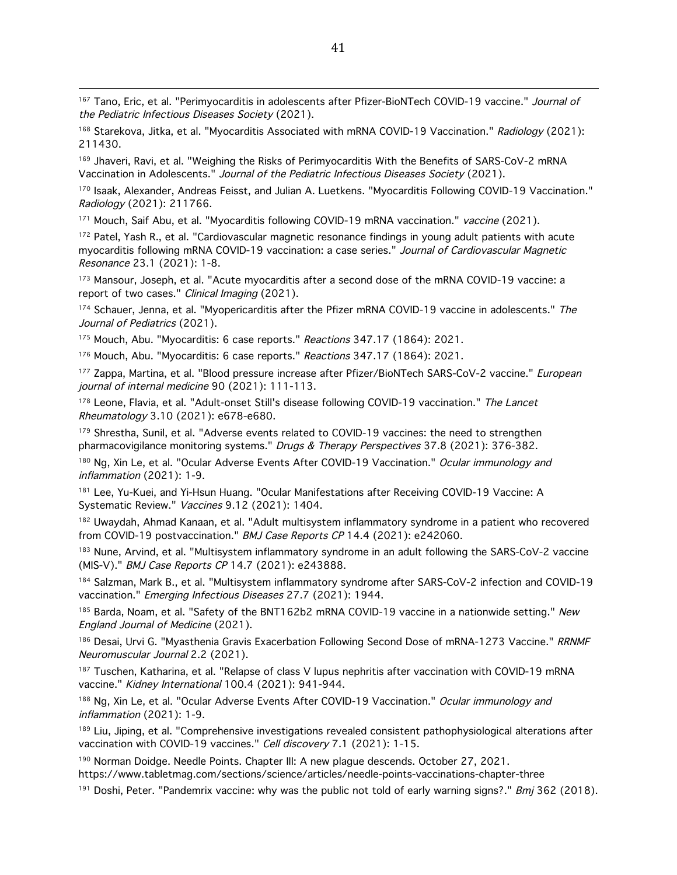<sup>167</sup> Tano, Eric, et al. "Perimyocarditis in adolescents after Pfizer-BioNTech COVID-19 vaccine." Journal of the Pediatric Infectious Diseases Society (2021).

<sup>168</sup> Starekova, Jitka, et al. "Myocarditis Associated with mRNA COVID-19 Vaccination." Radiology (2021): 211430.

<sup>169</sup> Jhaveri, Ravi, et al. "Weighing the Risks of Perimyocarditis With the Benefits of SARS-CoV-2 mRNA Vaccination in Adolescents." Journal of the Pediatric Infectious Diseases Society (2021).

170 Isaak, Alexander, Andreas Feisst, and Julian A. Luetkens. "Myocarditis Following COVID-19 Vaccination." Radiology (2021): 211766.

<sup>171</sup> Mouch, Saif Abu, et al. "Myocarditis following COVID-19 mRNA vaccination." vaccine (2021).

<sup>172</sup> Patel, Yash R., et al. "Cardiovascular magnetic resonance findings in young adult patients with acute myocarditis following mRNA COVID-19 vaccination: a case series." Journal of Cardiovascular Magnetic Resonance 23.1 (2021): 1-8.

<sup>173</sup> Mansour, Joseph, et al. "Acute myocarditis after a second dose of the mRNA COVID-19 vaccine: a report of two cases." Clinical Imaging (2021).

174 Schauer, Jenna, et al. "Myopericarditis after the Pfizer mRNA COVID-19 vaccine in adolescents." The Journal of Pediatrics (2021).

175 Mouch, Abu. "Myocarditis: 6 case reports." Reactions 347.17 (1864): 2021.

<sup>176</sup> Mouch, Abu. "Myocarditis: 6 case reports." Reactions 347.17 (1864): 2021.

<sup>177</sup> Zappa, Martina, et al. "Blood pressure increase after Pfizer/BioNTech SARS-CoV-2 vaccine." *European* journal of internal medicine 90 (2021): 111-113.

<sup>178</sup> Leone, Flavia, et al. "Adult-onset Still's disease following COVID-19 vaccination." The Lancet Rheumatology 3.10 (2021): e678-e680.

<sup>179</sup> Shrestha, Sunil, et al. "Adverse events related to COVID-19 vaccines: the need to strengthen pharmacovigilance monitoring systems." Drugs & Therapy Perspectives 37.8 (2021): 376-382.

<sup>180</sup> Ng, Xin Le, et al. "Ocular Adverse Events After COVID-19 Vaccination." *Ocular immunology and* inflammation (2021): 1-9.

<sup>181</sup> Lee, Yu-Kuei, and Yi-Hsun Huang. "Ocular Manifestations after Receiving COVID-19 Vaccine: A Systematic Review." Vaccines 9.12 (2021): 1404.

182 Uwaydah, Ahmad Kanaan, et al. "Adult multisystem inflammatory syndrome in a patient who recovered from COVID-19 postvaccination." BMJ Case Reports CP 14.4 (2021): e242060.

<sup>183</sup> Nune, Arvind, et al. "Multisystem inflammatory syndrome in an adult following the SARS-CoV-2 vaccine (MIS-V)." BMJ Case Reports CP 14.7 (2021): e243888.

184 Salzman, Mark B., et al. "Multisystem inflammatory syndrome after SARS-CoV-2 infection and COVID-19 vaccination." Emerging Infectious Diseases 27.7 (2021): 1944.

 $185$  Barda, Noam, et al. "Safety of the BNT162b2 mRNA COVID-19 vaccine in a nationwide setting." New England Journal of Medicine (2021).

<sup>186</sup> Desai, Urvi G. "Myasthenia Gravis Exacerbation Following Second Dose of mRNA-1273 Vaccine." RRNMF Neuromuscular Journal 2.2 (2021).

<sup>187</sup> Tuschen, Katharina, et al. "Relapse of class V lupus nephritis after vaccination with COVID-19 mRNA vaccine." Kidney International 100.4 (2021): 941-944.

<sup>188</sup> Ng, Xin Le, et al. "Ocular Adverse Events After COVID-19 Vaccination." *Ocular immunology and* inflammation (2021): 1-9.

<sup>189</sup> Liu, Jiping, et al. "Comprehensive investigations revealed consistent pathophysiological alterations after vaccination with COVID-19 vaccines." Cell discovery 7.1 (2021): 1-15.

<sup>190</sup> Norman Doidge. Needle Points. Chapter III: A new plague descends. October 27, 2021. https://www.tabletmag.com/sections/science/articles/needle-points-vaccinations-chapter-three

<sup>191</sup> Doshi, Peter. "Pandemrix vaccine: why was the public not told of early warning signs?." *Bmj* 362 (2018).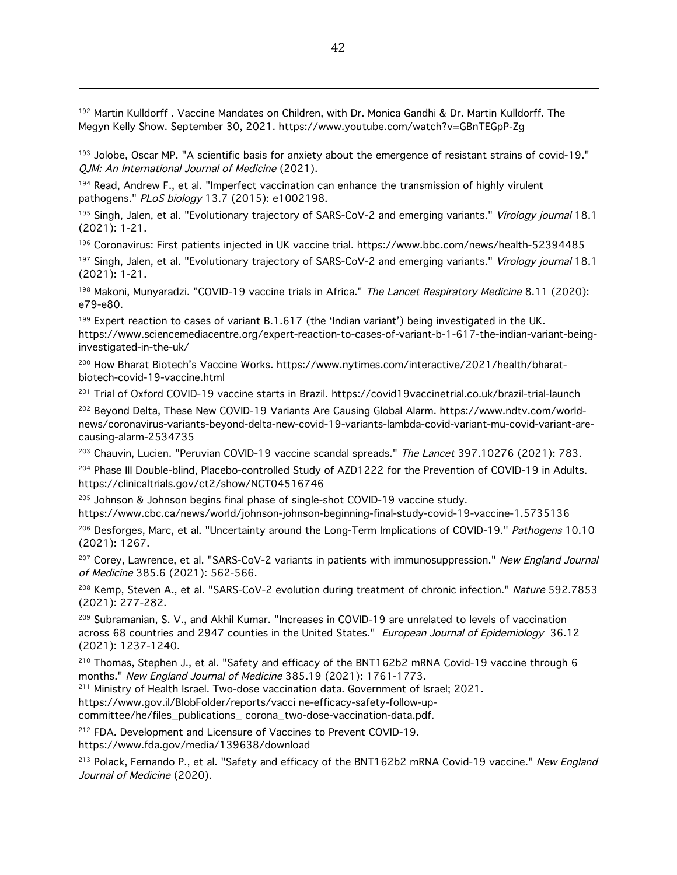<sup>192</sup> Martin Kulldorff . Vaccine Mandates on Children, with Dr. Monica Gandhi & Dr. Martin Kulldorff. The Megyn Kelly Show. September 30, 2021. https://www.youtube.com/watch?v=GBnTEGpP-Zg

<sup>193</sup> Jolobe, Oscar MP. "A scientific basis for anxiety about the emergence of resistant strains of covid-19." QJM: An International Journal of Medicine (2021).

<sup>194</sup> Read, Andrew F., et al. "Imperfect vaccination can enhance the transmission of highly virulent pathogens." PLoS biology 13.7 (2015): e1002198.

<sup>195</sup> Singh, Jalen, et al. "Evolutionary trajectory of SARS-CoV-2 and emerging variants." *Virology journal* 18.1 (2021): 1-21.

<sup>196</sup> Coronavirus: First patients injected in UK vaccine trial. https://www.bbc.com/news/health-52394485

197 Singh, Jalen, et al. "Evolutionary trajectory of SARS-CoV-2 and emerging variants." Virology journal 18.1 (2021): 1-21.

198 Makoni, Munyaradzi. "COVID-19 vaccine trials in Africa." The Lancet Respiratory Medicine 8.11 (2020): e79-e80.

<sup>199</sup> Expert reaction to cases of variant B.1.617 (the 'Indian variant') being investigated in the UK. https://www.sciencemediacentre.org/expert-reaction-to-cases-of-variant-b-1-617-the-indian-variant-beinginvestigated-in-the-uk/

<sup>200</sup> How Bharat Biotech's Vaccine Works. https://www.nytimes.com/interactive/2021/health/bharatbiotech-covid-19-vaccine.html

<sup>201</sup> Trial of Oxford COVID-19 vaccine starts in Brazil. https://covid19vaccinetrial.co.uk/brazil-trial-launch

<sup>202</sup> Beyond Delta, These New COVID-19 Variants Are Causing Global Alarm. https://www.ndtv.com/worldnews/coronavirus-variants-beyond-delta-new-covid-19-variants-lambda-covid-variant-mu-covid-variant-arecausing-alarm-2534735

<sup>203</sup> Chauvin, Lucien. "Peruvian COVID-19 vaccine scandal spreads." The Lancet 397.10276 (2021): 783.

<sup>204</sup> Phase III Double-blind, Placebo-controlled Study of AZD1222 for the Prevention of COVID-19 in Adults. https://clinicaltrials.gov/ct2/show/NCT04516746

<sup>205</sup> Johnson & Johnson begins final phase of single-shot COVID-19 vaccine study.

https://www.cbc.ca/news/world/johnson-johnson-beginning-final-study-covid-19-vaccine-1.5735136

<sup>206</sup> Desforges, Marc, et al. "Uncertainty around the Long-Term Implications of COVID-19." Pathogens 10.10 (2021): 1267.

<sup>207</sup> Corey, Lawrence, et al. "SARS-CoV-2 variants in patients with immunosuppression." New England Journal of Medicine 385.6 (2021): 562-566.

<sup>208</sup> Kemp, Steven A., et al. "SARS-CoV-2 evolution during treatment of chronic infection." Nature 592.7853 (2021): 277-282.

<sup>209</sup> Subramanian, S. V., and Akhil Kumar. "Increases in COVID-19 are unrelated to levels of vaccination across 68 countries and 2947 counties in the United States." European Journal of Epidemiology 36.12 (2021): 1237-1240.

<sup>210</sup> Thomas, Stephen J., et al. "Safety and efficacy of the BNT162b2 mRNA Covid-19 vaccine through 6 months." New England Journal of Medicine 385.19 (2021): 1761-1773.

<sup>211</sup> Ministry of Health Israel. Two-dose vaccination data. Government of Israel; 2021.

https://www.gov.il/BlobFolder/reports/vacci ne-efficacy-safety-follow-up-

committee/he/files\_publications\_ corona\_two-dose-vaccination-data.pdf.

212 FDA. Development and Licensure of Vaccines to Prevent COVID-19.

https://www.fda.gov/media/139638/download

<sup>213</sup> Polack, Fernando P., et al. "Safety and efficacy of the BNT162b2 mRNA Covid-19 vaccine." New England Journal of Medicine (2020).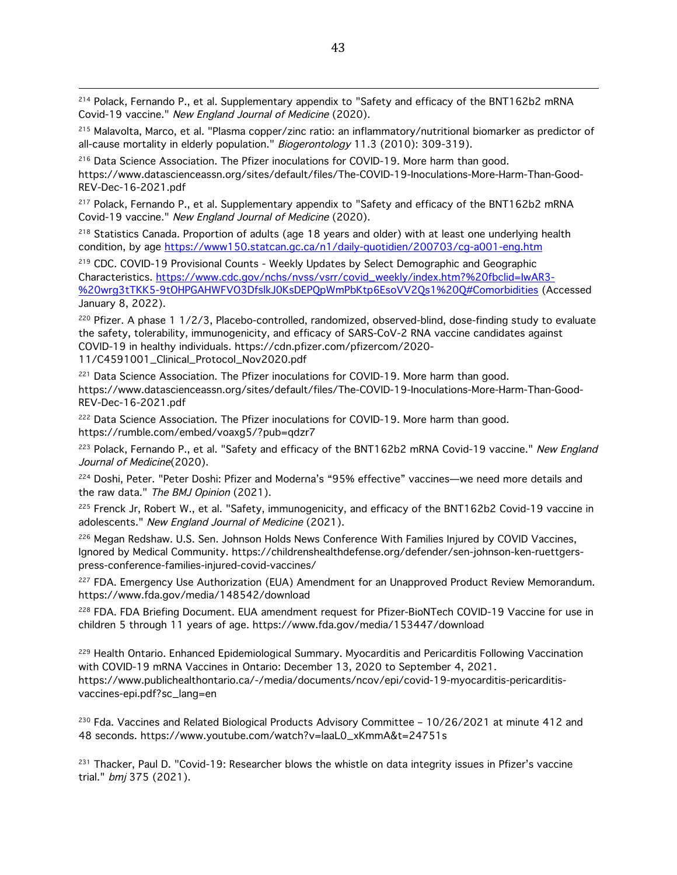<sup>214</sup> Polack, Fernando P., et al. Supplementary appendix to "Safety and efficacy of the BNT162b2 mRNA Covid-19 vaccine." New England Journal of Medicine (2020).

<sup>215</sup> Malavolta, Marco, et al. "Plasma copper/zinc ratio: an inflammatory/nutritional biomarker as predictor of all-cause mortality in elderly population." Biogerontology 11.3 (2010): 309-319).

<sup>216</sup> Data Science Association. The Pfizer inoculations for COVID-19. More harm than good. https://www.datascienceassn.org/sites/default/files/The-COVID-19-Inoculations-More-Harm-Than-Good-REV-Dec-16-2021.pdf

<sup>217</sup> Polack, Fernando P., et al. Supplementary appendix to "Safety and efficacy of the BNT162b2 mRNA Covid-19 vaccine." New England Journal of Medicine (2020).

<sup>218</sup> Statistics Canada. Proportion of adults (age 18 years and older) with at least one underlying health condition, by age https://www150.statcan.gc.ca/n1/daily-quotidien/200703/cg-a001-eng.htm

<sup>219</sup> CDC. COVID-19 Provisional Counts - Weekly Updates by Select Demographic and Geographic Characteristics. https://www.cdc.gov/nchs/nvss/vsrr/covid\_weekly/index.htm?%20fbclid=IwAR3- %20wrg3tTKK5-9tOHPGAHWFVO3DfslkJ0KsDEPQpWmPbKtp6EsoVV2Qs1%20Q#Comorbidities (Accessed January 8, 2022).

<sup>220</sup> Pfizer. A phase 1 1/2/3, Placebo-controlled, randomized, observed-blind, dose-finding study to evaluate the safety, tolerability, immunogenicity, and efficacy of SARS-CoV-2 RNA vaccine candidates against COVID-19 in healthy individuals. https://cdn.pfizer.com/pfizercom/2020- 11/C4591001\_Clinical\_Protocol\_Nov2020.pdf

<sup>221</sup> Data Science Association. The Pfizer inoculations for COVID-19. More harm than good. https://www.datascienceassn.org/sites/default/files/The-COVID-19-Inoculations-More-Harm-Than-Good-REV-Dec-16-2021.pdf

<sup>222</sup> Data Science Association. The Pfizer inoculations for COVID-19. More harm than good. https://rumble.com/embed/voaxg5/?pub=qdzr7

<sup>223</sup> Polack, Fernando P., et al. "Safety and efficacy of the BNT162b2 mRNA Covid-19 vaccine." New England Journal of Medicine(2020).

<sup>224</sup> Doshi, Peter. "Peter Doshi: Pfizer and Moderna's "95% effective" vaccines—we need more details and the raw data." The BMJ Opinion (2021).

<sup>225</sup> Frenck Jr, Robert W., et al. "Safety, immunogenicity, and efficacy of the BNT162b2 Covid-19 vaccine in adolescents." New England Journal of Medicine (2021).

<sup>226</sup> Megan Redshaw. U.S. Sen. Johnson Holds News Conference With Families Injured by COVID Vaccines, Ignored by Medical Community. https://childrenshealthdefense.org/defender/sen-johnson-ken-ruettgerspress-conference-families-injured-covid-vaccines/

<sup>227</sup> FDA. Emergency Use Authorization (EUA) Amendment for an Unapproved Product Review Memorandum. https://www.fda.gov/media/148542/download

<sup>228</sup> FDA. FDA Briefing Document. EUA amendment request for Pfizer-BioNTech COVID-19 Vaccine for use in children 5 through 11 years of age. https://www.fda.gov/media/153447/download

<sup>229</sup> Health Ontario. Enhanced Epidemiological Summary. Myocarditis and Pericarditis Following Vaccination with COVID-19 mRNA Vaccines in Ontario: December 13, 2020 to September 4, 2021. https://www.publichealthontario.ca/-/media/documents/ncov/epi/covid-19-myocarditis-pericarditisvaccines-epi.pdf?sc\_lang=en

<sup>230</sup> Fda. Vaccines and Related Biological Products Advisory Committee - 10/26/2021 at minute 412 and 48 seconds. https://www.youtube.com/watch?v=laaL0\_xKmmA&t=24751s

 $^{231}$  Thacker, Paul D. "Covid-19: Researcher blows the whistle on data integrity issues in Pfizer's vaccine trial." bmj 375 (2021).